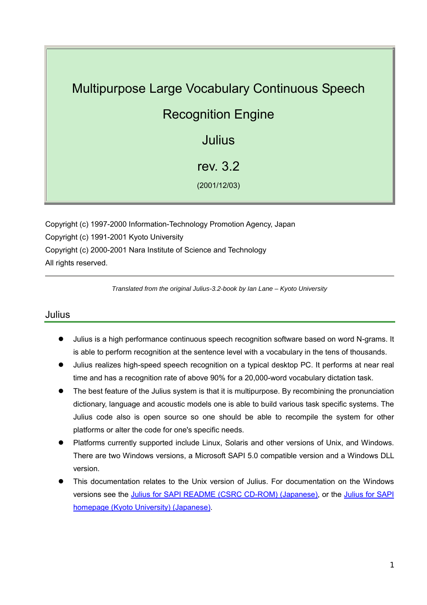# Multipurpose Large Vocabulary Continuous Speech Recognition Engine Julius rev. 3.2 (2001/12/03)

Copyright (c) 1997-2000 Information-Technology Promotion Agency, Japan Copyright (c) 1991-2001 Kyoto University Copyright (c) 2000-2001 Nara Institute of Science and Technology All rights reserved.

*Translated from the original Julius-3.2-book by Ian Lane – Kyoto University* 

### Julius

- Julius is a high performance continuous speech recognition software based on word N-grams. It is able to perform recognition at the sentence level with a vocabulary in the tens of thousands.
- Julius realizes high-speed speech recognition on a typical desktop PC. It performs at near real time and has a recognition rate of above 90% for a 20,000-word vocabulary dictation task.
- The best feature of the Julius system is that it is multipurpose. By recombining the pronunciation dictionary, language and acoustic models one is able to build various task specific systems. The Julius code also is open source so one should be able to recompile the system for other platforms or alter the code for one's specific needs.
- Platforms currently supported include Linux, Solaris and other versions of Unix, and Windows. There are two Windows versions, a Microsoft SAPI 5.0 compatible version and a Windows DLL version.
- z This documentation relates to the Unix version of Julius. For documentation on the Windows versions see the Julius for SAPI README (CSRC CD-ROM) (Japanese), or the [Julius for SAPI](http://winnie.kuis.kyoto-u.ac.jp/pub/julius/forSAPI/) [homepage \(Kyoto University\) \(Japanese\)](http://winnie.kuis.kyoto-u.ac.jp/pub/julius/forSAPI/).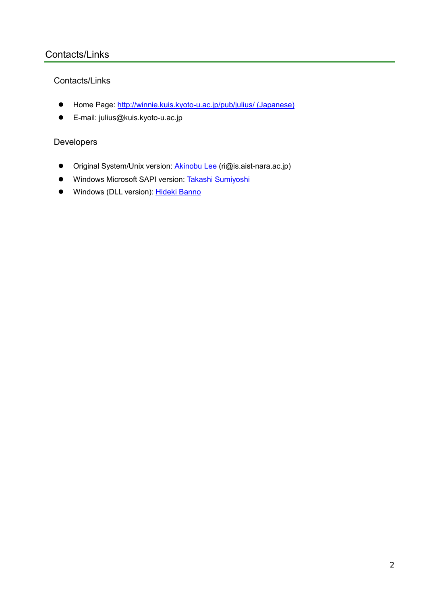# Contacts/Links

## Contacts/Links

- Home Page: [http://winnie.kuis.kyoto-u.ac.jp/pub/julius/ \(Japanese\)](http://winnie.kuis.kyoto-u.ac.jp/pub/julius/)
- E-mail: julius@kuis.kyoto-u.ac.jp

# Developers

- Original System/Unix version: **[Akinobu Lee](http://www.aist-nara.ac.jp/~ri/index-j.html)** (ri@is.aist-nara.ac.jp)
- **•** Windows Microsoft SAPI version: [Takashi Sumiyoshi](http://winnie.kuis.kyoto-u.ac.jp/members/sumiyosi/)
- Windows (DLL version): Hideki Banno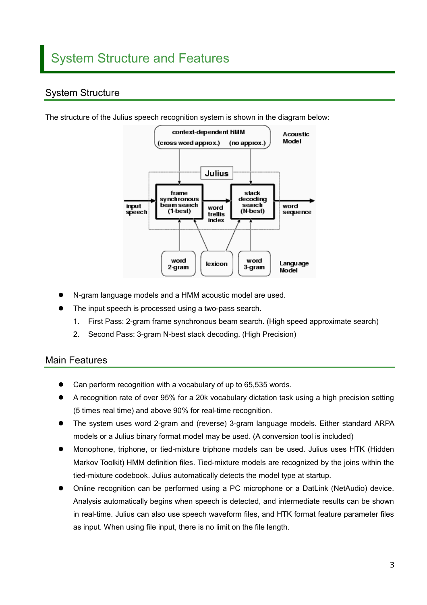# System Structure



The structure of the Julius speech recognition system is shown in the diagram below:

- N-gram language models and a HMM acoustic model are used.
- The input speech is processed using a two-pass search.
	- 1. First Pass: 2-gram frame synchronous beam search. (High speed approximate search)
	- 2. Second Pass: 3-gram N-best stack decoding. (High Precision)

### Main Features

- Can perform recognition with a vocabulary of up to 65,535 words.
- A recognition rate of over 95% for a 20k vocabulary dictation task using a high precision setting (5 times real time) and above 90% for real-time recognition.
- The system uses word 2-gram and (reverse) 3-gram language models. Either standard ARPA models or a Julius binary format model may be used. (A conversion tool is included)
- z Monophone, triphone, or tied-mixture triphone models can be used. Julius uses HTK (Hidden Markov Toolkit) HMM definition files. Tied-mixture models are recognized by the joins within the tied-mixture codebook. Julius automatically detects the model type at startup.
- Online recognition can be performed using a PC microphone or a DatLink (NetAudio) device. Analysis automatically begins when speech is detected, and intermediate results can be shown in real-time. Julius can also use speech waveform files, and HTK format feature parameter files as input. When using file input, there is no limit on the file length.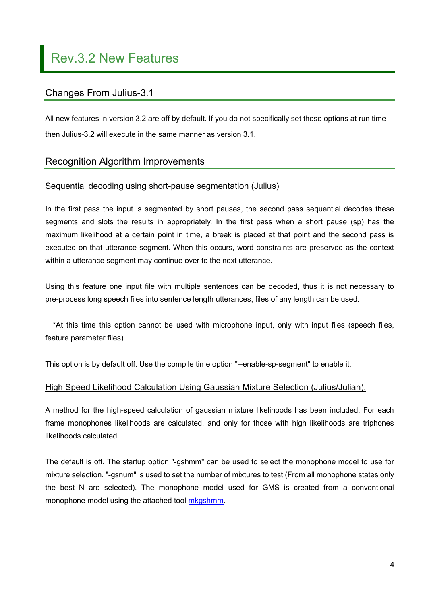# Changes From Julius-3.1

All new features in version 3.2 are off by default. If you do not specifically set these options at run time then Julius-3.2 will execute in the same manner as version 3.1.

# Recognition Algorithm Improvements

#### Sequential decoding using short-pause segmentation (Julius)

In the first pass the input is segmented by short pauses, the second pass sequential decodes these segments and slots the results in appropriately. In the first pass when a short pause (sp) has the maximum likelihood at a certain point in time, a break is placed at that point and the second pass is executed on that utterance segment. When this occurs, word constraints are preserved as the context within a utterance segment may continue over to the next utterance.

Using this feature one input file with multiple sentences can be decoded, thus it is not necessary to pre-process long speech files into sentence length utterances, files of any length can be used.

\*At this time this option cannot be used with microphone input, only with input files (speech files, feature parameter files).

This option is by default off. Use the compile time option "--enable-sp-segment" to enable it.

#### High Speed Likelihood Calculation Using Gaussian Mixture Selection (Julius/Julian).

A method for the high-speed calculation of gaussian mixture likelihoods has been included. For each frame monophones likelihoods are calculated, and only for those with high likelihoods are triphones likelihoods calculated.

The default is off. The startup option "-gshmm" can be used to select the monophone model to use for mixture selection. "-gsnum" is used to set the number of mixtures to test (From all monophone states only the best N are selected). The monophone model used for GMS is created from a conventional monophone model using the attached tool [mkgshmm](#page-52-0).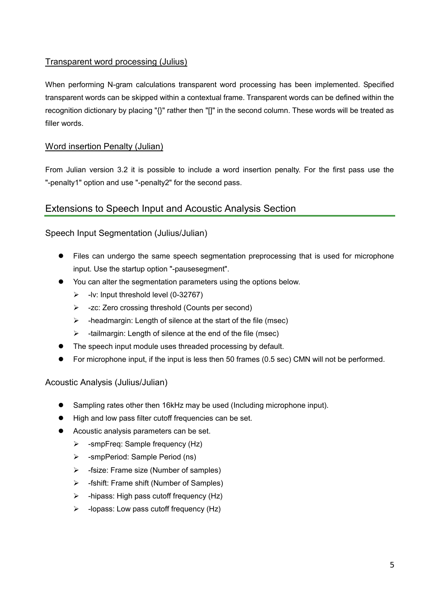## Transparent word processing (Julius)

When performing N-gram calculations transparent word processing has been implemented. Specified transparent words can be skipped within a contextual frame. Transparent words can be defined within the recognition dictionary by placing "{}" rather then "[]" in the second column. These words will be treated as filler words.

#### Word insertion Penalty (Julian)

From Julian version 3.2 it is possible to include a word insertion penalty. For the first pass use the "-penalty1" option and use "-penalty2" for the second pass.

# Extensions to Speech Input and Acoustic Analysis Section

#### Speech Input Segmentation (Julius/Julian)

- Files can undergo the same speech segmentation preprocessing that is used for microphone input. Use the startup option "-pausesegment".
- You can alter the segmentation parameters using the options below.
	- $\blacktriangleright$  -lv: Input threshold level (0-32767)
	- ¾ -zc: Zero crossing threshold (Counts per second)
	- $\triangleright$  -headmargin: Length of silence at the start of the file (msec)
	- $\triangleright$  -tailmargin: Length of silence at the end of the file (msec)
- The speech input module uses threaded processing by default.
- For microphone input, if the input is less then 50 frames (0.5 sec) CMN will not be performed.

#### Acoustic Analysis (Julius/Julian)

- Sampling rates other then 16kHz may be used (Including microphone input).
- $\bullet$  High and low pass filter cutoff frequencies can be set.
- Acoustic analysis parameters can be set.
	- $\triangleright$  -smpFreq: Sample frequency (Hz)
	- ¾ -smpPeriod: Sample Period (ns)
	- $\triangleright$  -fsize: Frame size (Number of samples)
	- ¾ -fshift: Frame shift (Number of Samples)
	- $\triangleright$  -hipass: High pass cutoff frequency (Hz)
	- $\triangleright$  -lopass: Low pass cutoff frequency (Hz)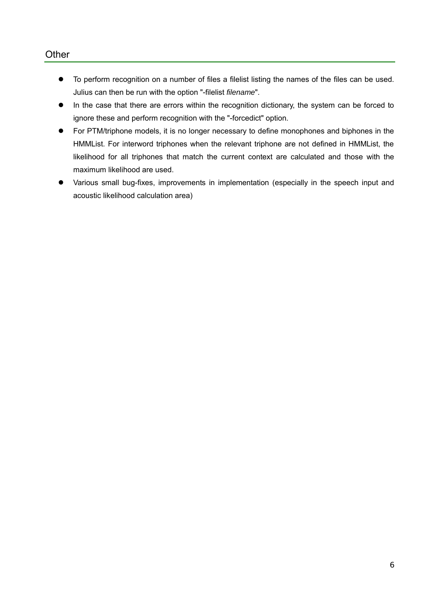#### **Other**

- $\bullet$  To perform recognition on a number of files a filelist listing the names of the files can be used. Julius can then be run with the option "-filelist *filename*".
- In the case that there are errors within the recognition dictionary, the system can be forced to ignore these and perform recognition with the "-forcedict" option.
- For PTM/triphone models, it is no longer necessary to define monophones and biphones in the HMMList. For interword triphones when the relevant triphone are not defined in HMMList, the likelihood for all triphones that match the current context are calculated and those with the maximum likelihood are used.
- Various small bug-fixes, improvements in implementation (especially in the speech input and acoustic likelihood calculation area)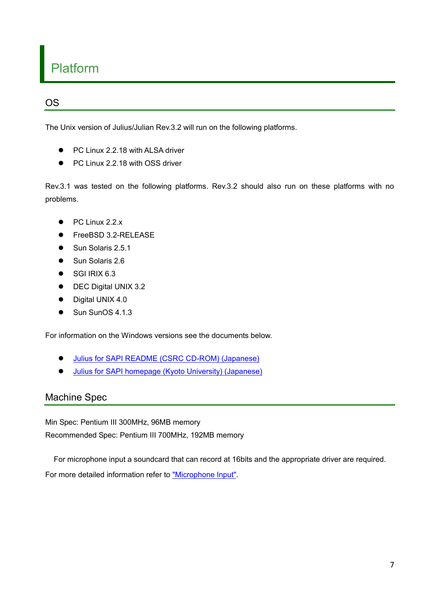# Platform

# OS

The Unix version of Julius/Julian Rev.3.2 will run on the following platforms.

- PC Linux 2.2.18 with ALSA driver
- PC Linux 2.2.18 with OSS driver

Rev.3.1 was tested on the following platforms. Rev.3.2 should also run on these platforms with no problems.

- $\bullet$  PC Linux 2.2.x
- z FreeBSD 3.2-RELEASE
- Sun Solaris 2.5.1
- Sun Solaris 2.6
- SGI IRIX 6.3
- DEC Digital UNIX 3.2
- Digital UNIX 4.0
- $\bullet$  Sun SunOS 4.1.3

For information on the Windows versions see the documents below.

- $\bullet$  Julius for SAPI README (CSRC CD-ROM) (Japanese)
- **•** Julius for SAPI homepage (Kyoto University) (Japanese)

# Machine Spec

Min Spec: Pentium III 300MHz, 96MB memory

Recommended Spec: Pentium III 700MHz, 192MB memory

For microphone input a soundcard that can record at 16bits and the appropriate driver are required.

For more detailed information refer to ["Microphone Input"](#page-14-0).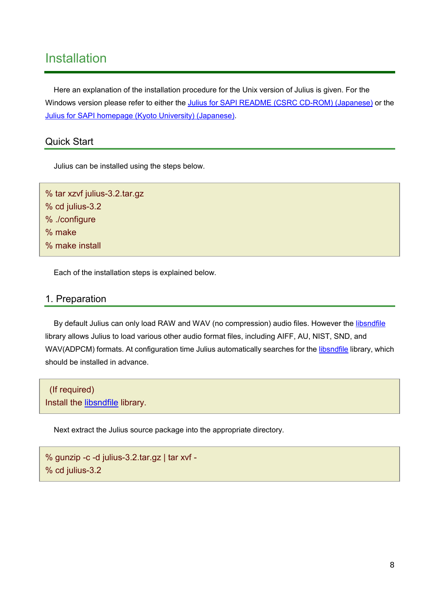# Installation

Here an explanation of the installation procedure for the Unix version of Julius is given. For the Windows version please refer to either the Julius for SAPI README (CSRC CD-ROM) (Japanese) or the [Julius for SAPI homepage \(Kyoto University\) \(Japanese\).](http://winnie.kuis.kyoto-u.ac.jp/pub/julius/forSAPI/)

# Quick Start

Julius can be installed using the steps below.

% tar xzvf julius-3.2.tar.gz % cd julius-3.2 % ./configure % make % make install

Each of the installation steps is explained below.

#### 1. Preparation

By default Julius can only load RAW and WAV (no compression) audio files. However the [libsndfile](http://www.zip.com.au/~erikd/libsndfile/) library allows Julius to load various other audio format files, including AIFF, AU, NIST, SND, and WAV(ADPCM) formats. At configuration time Julius automatically searches for the [libsndfile](http://www.zip.com.au/~erikd/libsndfile/) library, which should be installed in advance.

 (If required) Install the [libsndfile](http://www.zip.com.au/~erikd/libsndfile/) library.

Next extract the Julius source package into the appropriate directory.

```
% gunzip -c -d julius-3.2.tar.gz | tar xvf - 
% cd julius-3.2
```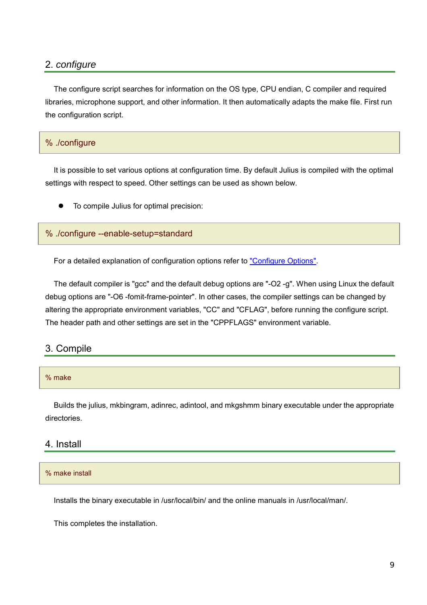## 2. *configure*

The configure script searches for information on the OS type, CPU endian, C compiler and required libraries, microphone support, and other information. It then automatically adapts the make file. First run the configuration script.

#### % ./configure

It is possible to set various options at configuration time. By default Julius is compiled with the optimal settings with respect to speed. Other settings can be used as shown below.

To compile Julius for optimal precision:

#### % ./configure --enable-setup=standard

For a detailed explanation of configuration options refer to ["Configure Options".](#page-19-0)

The default compiler is "gcc" and the default debug options are "-O2 -g". When using Linux the default debug options are "-O6 -fomit-frame-pointer". In other cases, the compiler settings can be changed by altering the appropriate environment variables, "CC" and "CFLAG", before running the configure script. The header path and other settings are set in the "CPPFLAGS" environment variable.

### 3. Compile

#### % make

Builds the julius, mkbingram, adinrec, adintool, and mkgshmm binary executable under the appropriate directories.

#### 4. Install

#### % make install

Installs the binary executable in /usr/local/bin/ and the online manuals in /usr/local/man/.

This completes the installation.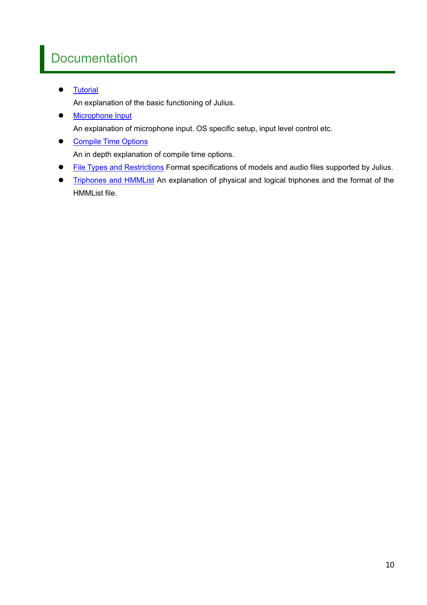# **Documentation**

**•** [Tutorial](#page-10-0)

An explanation of the basic functioning of Julius.

• [Microphone Input](#page-14-0)

An explanation of microphone input. OS specific setup, input level control etc.

- [Compile Time Options](#page-19-0) An in depth explanation of compile time options.
- [File Types and Restrictions](#page-23-0) Format specifications of models and audio files supported by Julius.
- [Triphones and HMMList](#page-31-0) An explanation of physical and logical triphones and the format of the HMMList file.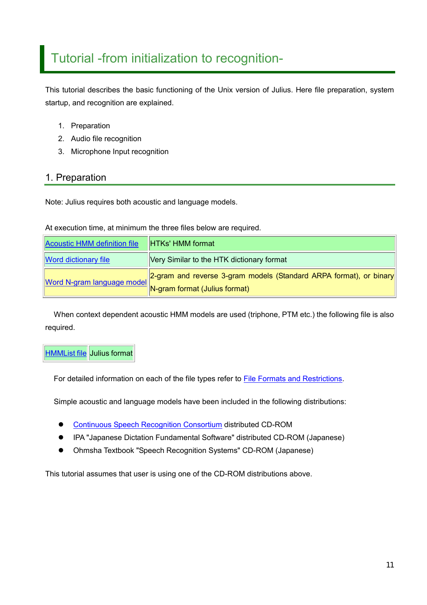# <span id="page-10-0"></span>Tutorial -from initialization to recognition-

This tutorial describes the basic functioning of the Unix version of Julius. Here file preparation, system startup, and recognition are explained.

- 1. Preparation
- 2. Audio file recognition
- 3. Microphone Input recognition

### 1. Preparation

Note: Julius requires both acoustic and language models.

At execution time, at minimum the three files below are required.

| Acoustic HMM definition file | <b>HTKs' HMM format</b>                                                                              |
|------------------------------|------------------------------------------------------------------------------------------------------|
| <b>Word dictionary file</b>  | Very Similar to the HTK dictionary format                                                            |
| Word N-gram language model   | [2-gram and reverse 3-gram models (Standard ARPA format), or binary<br>N-gram format (Julius format) |

When context dependent acoustic HMM models are used (triphone, PTM etc.) the following file is also required.

# **[HMMList file](#page-25-0) Julius format**

For detailed information on each of the file types refer to [File Formats and Restrictions.](#page-23-0)

Simple acoustic and language models have been included in the following distributions:

- **[Continuous Speech Recognition Consortium](http://www.lang.astem.or.jp/CSRC/) distributed CD-ROM**
- IPA "Japanese Dictation Fundamental Software" distributed CD-ROM (Japanese)
- Ohmsha Textbook "Speech Recognition Systems" CD-ROM (Japanese)

This tutorial assumes that user is using one of the CD-ROM distributions above.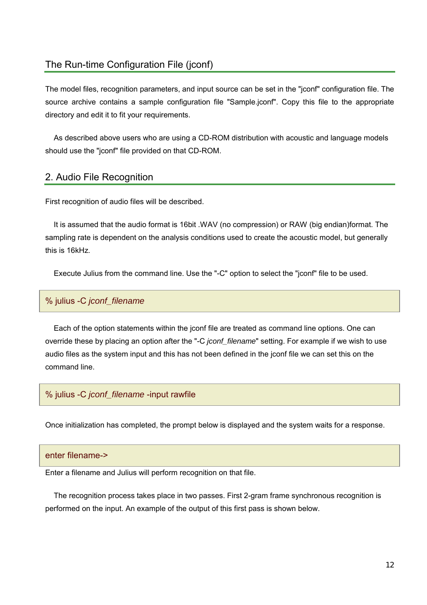# The Run-time Configuration File (jconf)

The model files, recognition parameters, and input source can be set in the "jconf" configuration file. The source archive contains a sample configuration file "Sample.jconf". Copy this file to the appropriate directory and edit it to fit your requirements.

As described above users who are using a CD-ROM distribution with acoustic and language models should use the "jconf" file provided on that CD-ROM.

#### 2. Audio File Recognition

First recognition of audio files will be described.

It is assumed that the audio format is 16bit .WAV (no compression) or RAW (big endian)format. The sampling rate is dependent on the analysis conditions used to create the acoustic model, but generally this is 16kHz.

Execute Julius from the command line. Use the "-C" option to select the "jconf" file to be used.

#### % julius -C *jconf\_filename*

Each of the option statements within the jconf file are treated as command line options. One can override these by placing an option after the "-C *jconf\_filename*" setting. For example if we wish to use audio files as the system input and this has not been defined in the jconf file we can set this on the command line.

## % julius -C *jconf\_filename* -input rawfile

Once initialization has completed, the prompt below is displayed and the system waits for a response.

#### enter filename->

Enter a filename and Julius will perform recognition on that file.

The recognition process takes place in two passes. First 2-gram frame synchronous recognition is performed on the input. An example of the output of this first pass is shown below.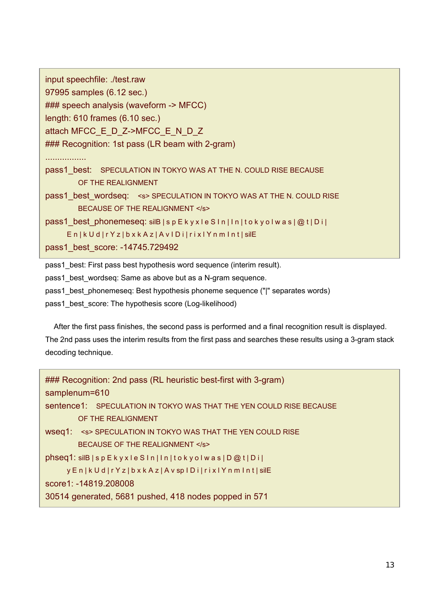```
input speechfile: ./test.raw
97995 samples (6.12 sec.)
### speech analysis (waveform -> MFCC)
length: 610 frames (6.10 sec.)
attach MFCC_E_D_Z->MFCC_E_N_D_Z
### Recognition: 1st pass (LR beam with 2-gram)
................. 
pass1 best: SPECULATION IN TOKYO WAS AT THE N. COULD RISE BECAUSE
        OF THE REALIGNMENT
pass1 best wordseq: <s> SPECULATION IN TOKYO WAS AT THE N. COULD RISE
        BECAUSE OF THE REALIGNMENT </s>
pass1 best phonemeseq: silB | s p E k y x l e S I n | I n | t o k y o l w a s | @ t | D i |
     E n | k U d | r Y z | b x k A z | A v I D i | r i x l Y n m I n t | silE
pass1_best_score: -14745.729492
```
pass1 best: First pass best hypothesis word sequence (interim result).

pass1 best wordseq: Same as above but as a N-gram sequence.

pass1 best phonemeseq: Best hypothesis phoneme sequence ("|" separates words)

pass1 best score: The hypothesis score (Log-likelihood)

After the first pass finishes, the second pass is performed and a final recognition result is displayed. The 2nd pass uses the interim results from the first pass and searches these results using a 3-gram stack decoding technique.

| ### Recognition: 2nd pass (RL heuristic best-first with 3-gram)              |  |  |  |  |
|------------------------------------------------------------------------------|--|--|--|--|
| samplenum=610                                                                |  |  |  |  |
| sentence1: SPECULATION IN TOKYO WAS THAT THE YEN COULD RISE BECAUSE          |  |  |  |  |
| OF THE REALIGNMENT                                                           |  |  |  |  |
| WSeq1: <s> SPECULATION IN TOKYO WAS THAT THE YEN COULD RISE</s>              |  |  |  |  |
| BECAUSE OF THE REALIGNMENT                                                   |  |  |  |  |
| $phseq1:$ $silB   sp E k y x le S ln   ln   to ky o l was   D @ t   Di  $    |  |  |  |  |
| y En   k U d   r Y z   b x k A z   A v sp   D i   r i x   Y n m   n t   silE |  |  |  |  |
| score1: -14819.208008                                                        |  |  |  |  |
| 30514 generated, 5681 pushed, 418 nodes popped in 571                        |  |  |  |  |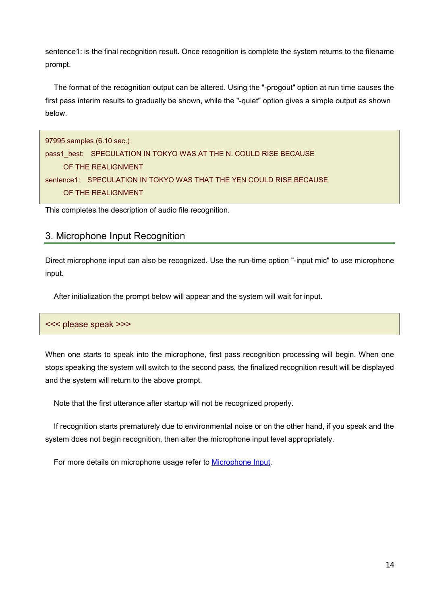<span id="page-13-0"></span>sentence1: is the final recognition result. Once recognition is complete the system returns to the filename prompt.

The format of the recognition output can be altered. Using the "-progout" option at run time causes the first pass interim results to gradually be shown, while the "-quiet" option gives a simple output as shown below.

```
97995 samples (6.10 sec.)
pass1_best: SPECULATION IN TOKYO WAS AT THE N. COULD RISE BECAUSE
     OF THE REALIGNMENT
sentence1: SPECULATION IN TOKYO WAS THAT THE YEN COULD RISE BECAUSE 
     OF THE REALIGNMENT
```
This completes the description of audio file recognition.

### 3. Microphone Input Recognition

Direct microphone input can also be recognized. Use the run-time option "-input mic" to use microphone input.

After initialization the prompt below will appear and the system will wait for input.

#### <<< please speak >>>

When one starts to speak into the microphone, first pass recognition processing will begin. When one stops speaking the system will switch to the second pass, the finalized recognition result will be displayed and the system will return to the above prompt.

Note that the first utterance after startup will not be recognized properly.

If recognition starts prematurely due to environmental noise or on the other hand, if you speak and the system does not begin recognition, then alter the microphone input level appropriately.

For more details on microphone usage refer to [Microphone Input.](#page-13-0)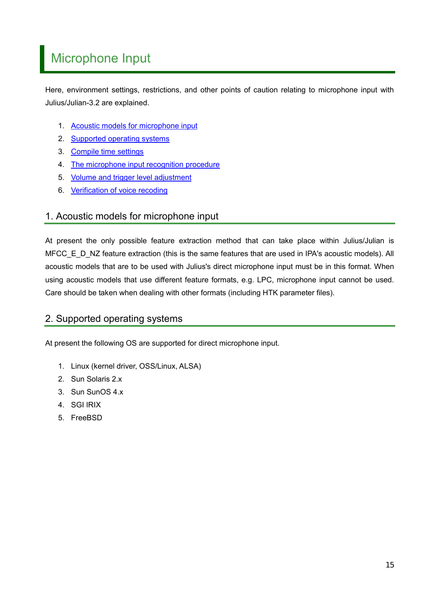# <span id="page-14-0"></span>Microphone Input

Here, environment settings, restrictions, and other points of caution relating to microphone input with Julius/Julian-3.2 are explained.

- 1. [Acoustic models for microphone input](#page-14-0)
- 2. [Supported operating systems](#page-14-0)
- 3. [Compile time settings](#page-16-0)
- 4. [The microphone input recognition procedure](#page-17-0)
- 5. [Volume and trigger level adjustment](#page-17-0)
- 6. [Verification of voice recoding](#page-18-0)

# 1. Acoustic models for microphone input

At present the only possible feature extraction method that can take place within Julius/Julian is MFCC\_E\_D\_NZ feature extraction (this is the same features that are used in IPA's acoustic models). All acoustic models that are to be used with Julius's direct microphone input must be in this format. When using acoustic models that use different feature formats, e.g. LPC, microphone input cannot be used. Care should be taken when dealing with other formats (including HTK parameter files).

# 2. Supported operating systems

At present the following OS are supported for direct microphone input.

- 1. Linux (kernel driver, OSS/Linux, ALSA)
- 2. Sun Solaris 2.x
- 3. Sun SunOS 4.x
- 4. SGI IRIX
- 5. FreeBSD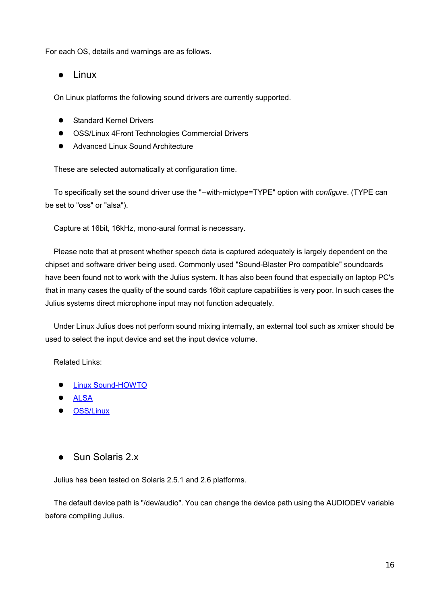For each OS, details and warnings are as follows.

#### $\bullet$  Linux

On Linux platforms the following sound drivers are currently supported.

- **Standard Kernel Drivers**
- OSS/Linux 4Front Technologies Commercial Drivers
- Advanced Linux Sound Architecture

These are selected automatically at configuration time.

To specifically set the sound driver use the "--with-mictype=TYPE" option with *configure*. (TYPE can be set to "oss" or "alsa").

Capture at 16bit, 16kHz, mono-aural format is necessary.

Please note that at present whether speech data is captured adequately is largely dependent on the chipset and software driver being used. Commonly used "Sound-Blaster Pro compatible" soundcards have been found not to work with the Julius system. It has also been found that especially on laptop PC's that in many cases the quality of the sound cards 16bit capture capabilities is very poor. In such cases the Julius systems direct microphone input may not function adequately.

Under Linux Julius does not perform sound mixing internally, an external tool such as xmixer should be used to select the input device and set the input device volume.

Related Links:

- Linux Sound-HOWTO
- **[ALSA](http://www.alsa-project.org/)**
- OSS/Linux
- Sun Solaris 2 x

Julius has been tested on Solaris 2.5.1 and 2.6 platforms.

The default device path is "/dev/audio". You can change the device path using the AUDIODEV variable before compiling Julius.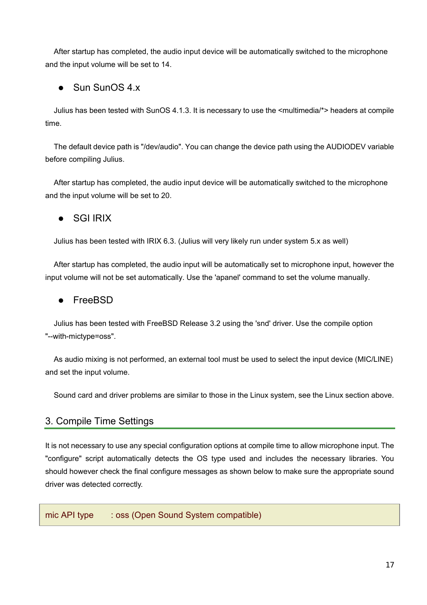<span id="page-16-0"></span>After startup has completed, the audio input device will be automatically switched to the microphone and the input volume will be set to 14.

# $\bullet$  Sun SunOS 4.x

Julius has been tested with SunOS 4.1.3. It is necessary to use the <multimedia/\*> headers at compile time.

The default device path is "/dev/audio". You can change the device path using the AUDIODEV variable before compiling Julius.

After startup has completed, the audio input device will be automatically switched to the microphone and the input volume will be set to 20.

# $\bullet$  SGI IRIX

Julius has been tested with IRIX 6.3. (Julius will very likely run under system 5.x as well)

After startup has completed, the audio input will be automatically set to microphone input, however the input volume will not be set automatically. Use the 'apanel' command to set the volume manually.

## • FreeBSD

Julius has been tested with FreeBSD Release 3.2 using the 'snd' driver. Use the compile option "--with-mictype=oss".

As audio mixing is not performed, an external tool must be used to select the input device (MIC/LINE) and set the input volume.

Sound card and driver problems are similar to those in the Linux system, see the Linux section above.

# 3. Compile Time Settings

It is not necessary to use any special configuration options at compile time to allow microphone input. The "configure" script automatically detects the OS type used and includes the necessary libraries. You should however check the final configure messages as shown below to make sure the appropriate sound driver was detected correctly.

mic API type : oss (Open Sound System compatible)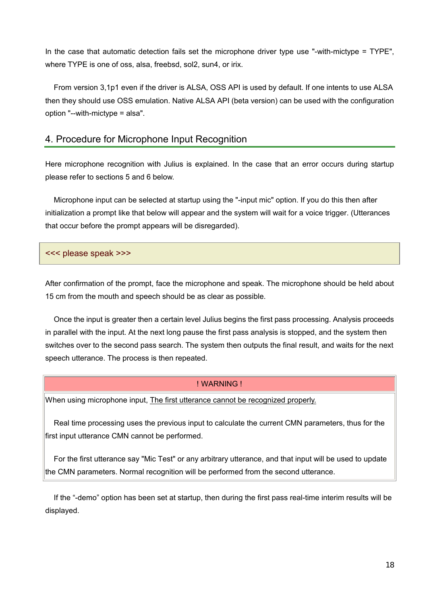<span id="page-17-0"></span>In the case that automatic detection fails set the microphone driver type use "-with-mictype = TYPE", where TYPE is one of oss, alsa, freebsd, sol2, sun4, or irix.

From version 3,1p1 even if the driver is ALSA, OSS API is used by default. If one intents to use ALSA then they should use OSS emulation. Native ALSA API (beta version) can be used with the configuration option "--with-mictype = alsa".

## 4. Procedure for Microphone Input Recognition

Here microphone recognition with Julius is explained. In the case that an error occurs during startup please refer to sections 5 and 6 below.

Microphone input can be selected at startup using the "-input mic" option. If you do this then after initialization a prompt like that below will appear and the system will wait for a voice trigger. (Utterances that occur before the prompt appears will be disregarded).

#### <<< please speak >>>

After confirmation of the prompt, face the microphone and speak. The microphone should be held about 15 cm from the mouth and speech should be as clear as possible.

Once the input is greater then a certain level Julius begins the first pass processing. Analysis proceeds in parallel with the input. At the next long pause the first pass analysis is stopped, and the system then switches over to the second pass search. The system then outputs the final result, and waits for the next speech utterance. The process is then repeated.

#### ! WARNING !

When using microphone input, The first utterance cannot be recognized properly.

Real time processing uses the previous input to calculate the current CMN parameters, thus for the first input utterance CMN cannot be performed.

For the first utterance say "Mic Test" or any arbitrary utterance, and that input will be used to update the CMN parameters. Normal recognition will be performed from the second utterance.

If the "-demo" option has been set at startup, then during the first pass real-time interim results will be displayed.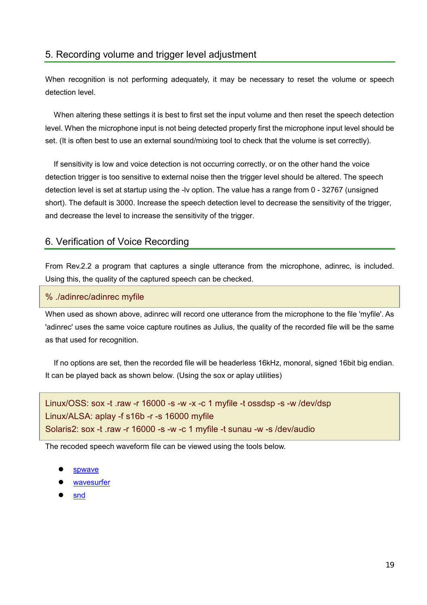#### <span id="page-18-0"></span>5. Recording volume and trigger level adjustment

When recognition is not performing adequately, it may be necessary to reset the volume or speech detection level.

When altering these settings it is best to first set the input volume and then reset the speech detection level. When the microphone input is not being detected properly first the microphone input level should be set. (It is often best to use an external sound/mixing tool to check that the volume is set correctly).

If sensitivity is low and voice detection is not occurring correctly, or on the other hand the voice detection trigger is too sensitive to external noise then the trigger level should be altered. The speech detection level is set at startup using the -lv option. The value has a range from 0 - 32767 (unsigned short). The default is 3000. Increase the speech detection level to decrease the sensitivity of the trigger, and decrease the level to increase the sensitivity of the trigger.

#### 6. Verification of Voice Recording

From Rev.2.2 a program that captures a single utterance from the microphone, adinrec, is included. Using this, the quality of the captured speech can be checked.

#### % ./adinrec/adinrec myfile

When used as shown above, adinrec will record one utterance from the microphone to the file 'myfile'. As 'adinrec' uses the same voice capture routines as Julius, the quality of the recorded file will be the same as that used for recognition.

If no options are set, then the recorded file will be headerless 16kHz, monoral, signed 16bit big endian. It can be played back as shown below. (Using the sox or aplay utilities)

```
Linux/OSS: sox -t .raw -r 16000 -s -w -x -c 1 myfile -t ossdsp -s -w /dev/dsp 
Linux/ALSA: aplay -f s16b -r -s 16000 myfile
Solaris2: sox -t .raw -r 16000 -s -w -c 1 myfile -t sunau -w -s /dev/audio
```
The recoded speech waveform file can be viewed using the tools below.

- spwave
- [wavesurfer](http://www.speech.kth.se/wavesurfer/)
- [snd](http://www-ccrma.stanford.edu/CCRMA/Software/snd/snd.html)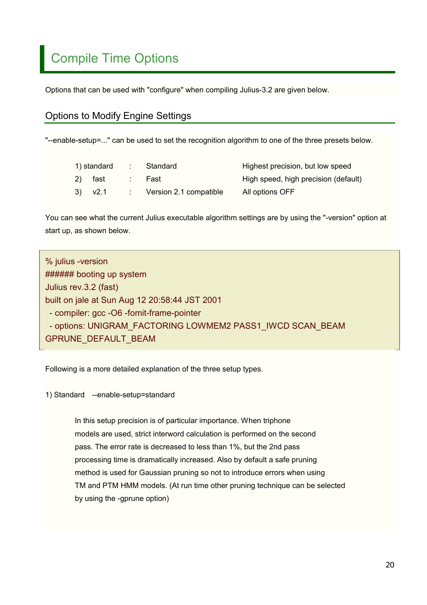# <span id="page-19-0"></span>Compile Time Options

Options that can be used with "configure" when compiling Julius-3.2 are given below.

# Options to Modify Engine Settings

"--enable-setup=..." can be used to set the recognition algorithm to one of the three presets below.

|  | 1) standard | : Standard               | Highest precision, but low speed     |
|--|-------------|--------------------------|--------------------------------------|
|  | 2) fast     | :  Fast                  | High speed, high precision (default) |
|  | $3)$ $v2.1$ | : Version 2.1 compatible | All options OFF                      |

You can see what the current Julius executable algorithm settings are by using the "-version" option at start up, as shown below.

| % julius -version                                         |
|-----------------------------------------------------------|
| ###### booting up system                                  |
| Julius rev.3.2 (fast)                                     |
| built on jale at Sun Aug 12 20:58:44 JST 2001             |
| - compiler: gcc -O6 -fomit-frame-pointer                  |
| - options: UNIGRAM FACTORING LOWMEM2 PASS1 IWCD SCAN BEAM |
| GPRUNE_DEFAULT_BEAM                                       |

Following is a more detailed explanation of the three setup types.

1) Standard --enable-setup=standard

In this setup precision is of particular importance. When triphone models are used, strict interword calculation is performed on the second pass. The error rate is decreased to less than 1%, but the 2nd pass processing time is dramatically increased. Also by default a safe pruning method is used for Gaussian pruning so not to introduce errors when using TM and PTM HMM models. (At run time other pruning technique can be selected by using the -gprune option)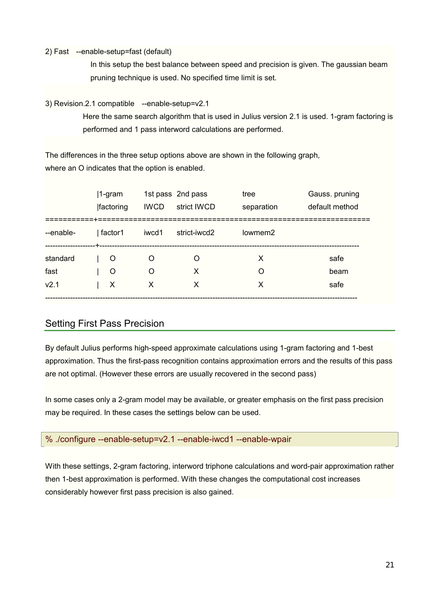#### 2) Fast --enable-setup=fast (default)

In this setup the best balance between speed and precision is given. The gaussian beam pruning technique is used. No specified time limit is set.

#### 3) Revision.2.1 compatible --enable-setup=v2.1

Here the same search algorithm that is used in Julius version 2.1 is used. 1-gram factoring is performed and 1 pass interword calculations are performed.

The differences in the three setup options above are shown in the following graph, where an O indicates that the option is enabled.

|                  | $ 1$ -gram<br><b>Ifactoring</b> | <b>IWCD</b> | 1st pass 2nd pass<br>strict IWCD | tree<br>separation  | Gauss. pruning<br>default method |
|------------------|---------------------------------|-------------|----------------------------------|---------------------|----------------------------------|
| --enable-        | factor1                         | iwcd1       | strict-iwcd2                     | lowmem <sub>2</sub> |                                  |
| standard         | O                               | O           | Ω                                | x                   | safe                             |
| fast             | O                               | O           | X                                | Ω                   | beam                             |
| V <sub>2.1</sub> | X                               | X           | x                                | X                   | safe                             |

# Setting First Pass Precision

By default Julius performs high-speed approximate calculations using 1-gram factoring and 1-best approximation. Thus the first-pass recognition contains approximation errors and the results of this pass are not optimal. (However these errors are usually recovered in the second pass)

In some cases only a 2-gram model may be available, or greater emphasis on the first pass precision may be required. In these cases the settings below can be used.

#### % ./configure --enable-setup=v2.1 --enable-iwcd1 --enable-wpair

With these settings, 2-gram factoring, interword triphone calculations and word-pair approximation rather then 1-best approximation is performed. With these changes the computational cost increases considerably however first pass precision is also gained.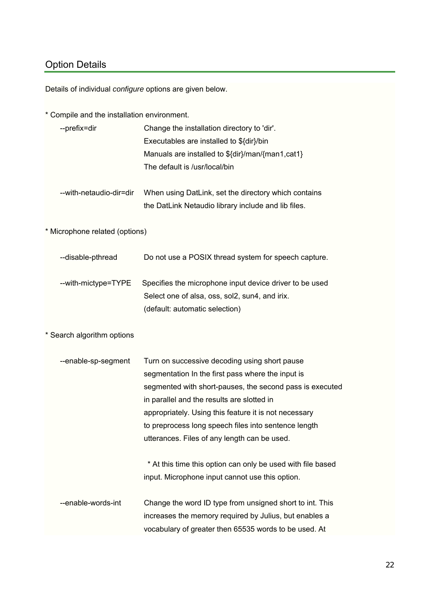# Option Details

Details of individual *configure* options are given below.

\* Compile and the installation environment.

| --prefix=dir | Change the installation directory to 'dir'.      |  |  |
|--------------|--------------------------------------------------|--|--|
|              | Executables are installed to \${dir}/bin         |  |  |
|              | Manuals are installed to \${dir}/man/{man1,cat1} |  |  |
|              | The default is /usr/local/bin                    |  |  |
|              |                                                  |  |  |

| --with-netaudio-dir=dir- | When using DatLink, set the directory which contains |
|--------------------------|------------------------------------------------------|
|                          | the DatLink Netaudio library include and lib files.  |

\* Microphone related (options)

| --disable-pthread   | Do not use a POSIX thread system for speech capture.                                                      |
|---------------------|-----------------------------------------------------------------------------------------------------------|
| --with-mictype=TYPE | Specifies the microphone input device driver to be used<br>Select one of alsa, oss, sol2, sun4, and irix. |
|                     | (default: automatic selection)                                                                            |

#### \* Search algorithm options

| --enable-sp-segment | Turn on successive decoding using short pause               |  |  |
|---------------------|-------------------------------------------------------------|--|--|
|                     | segmentation In the first pass where the input is           |  |  |
|                     | segmented with short-pauses, the second pass is executed    |  |  |
|                     | in parallel and the results are slotted in                  |  |  |
|                     | appropriately. Using this feature it is not necessary       |  |  |
|                     | to preprocess long speech files into sentence length        |  |  |
|                     | utterances. Files of any length can be used.                |  |  |
|                     |                                                             |  |  |
|                     | * At this time this option can only be used with file based |  |  |
|                     | input. Microphone input cannot use this option.             |  |  |
|                     |                                                             |  |  |
| --enable-words-int  | Change the word ID type from unsigned short to int. This    |  |  |
|                     | increases the memory required by Julius, but enables a      |  |  |
|                     | vocabulary of greater then 65535 words to be used. At       |  |  |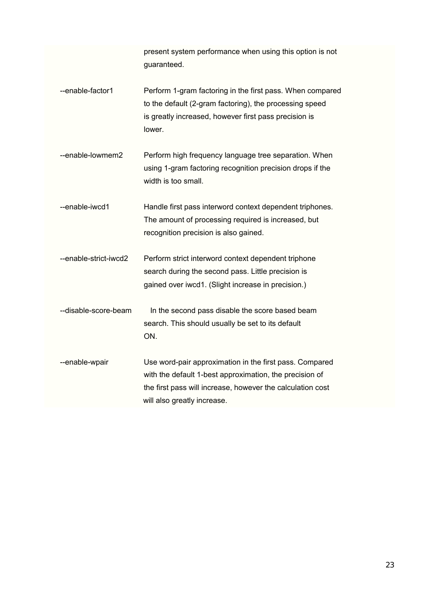|                       | present system performance when using this option is not<br>guaranteed.                                                                                                                                         |
|-----------------------|-----------------------------------------------------------------------------------------------------------------------------------------------------------------------------------------------------------------|
| --enable-factor1      | Perform 1-gram factoring in the first pass. When compared<br>to the default (2-gram factoring), the processing speed<br>is greatly increased, however first pass precision is<br>lower.                         |
| --enable-lowmem2      | Perform high frequency language tree separation. When<br>using 1-gram factoring recognition precision drops if the<br>width is too small.                                                                       |
| --enable-iwcd1        | Handle first pass interword context dependent triphones.<br>The amount of processing required is increased, but<br>recognition precision is also gained.                                                        |
| --enable-strict-iwcd2 | Perform strict interword context dependent triphone<br>search during the second pass. Little precision is<br>gained over iwcd1. (Slight increase in precision.)                                                 |
| --disable-score-beam  | In the second pass disable the score based beam<br>search. This should usually be set to its default<br>ON.                                                                                                     |
| --enable-wpair        | Use word-pair approximation in the first pass. Compared<br>with the default 1-best approximation, the precision of<br>the first pass will increase, however the calculation cost<br>will also greatly increase. |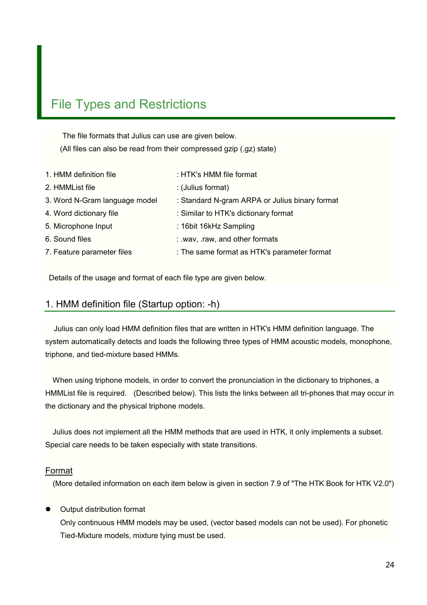# <span id="page-23-0"></span>File Types and Restrictions

 The file formats that Julius can use are given below. (All files can also be read from their compressed gzip (.gz) state)

| 1. HMM definition file        | : HTK's HMM file format                        |
|-------------------------------|------------------------------------------------|
| 2. HMMList file               | : (Julius format)                              |
| 3. Word N-Gram language model | : Standard N-gram ARPA or Julius binary format |
| 4. Word dictionary file       | : Similar to HTK's dictionary format           |
| 5. Microphone Input           | : 16bit 16kHz Sampling                         |
| 6. Sound files                | : .wav, .raw, and other formats                |
| 7. Feature parameter files    | : The same format as HTK's parameter format    |

Details of the usage and format of each file type are given below.

#### 1. HMM definition file (Startup option: -h)

 Julius can only load HMM definition files that are written in HTK's HMM definition language. The system automatically detects and loads the following three types of HMM acoustic models, monophone, triphone, and tied-mixture based HMMs.

When using triphone models, in order to convert the pronunciation in the dictionary to triphones, a HMMList file is required. (Described below). This lists the links between all tri-phones that may occur in the dictionary and the physical triphone models.

Julius does not implement all the HMM methods that are used in HTK, it only implements a subset. Special care needs to be taken especially with state transitions.

#### Format

(More detailed information on each item below is given in section 7.9 of "The HTK Book for HTK V2.0")

#### **Output distribution format**

Only continuous HMM models may be used, (vector based models can not be used). For phonetic Tied-Mixture models, mixture tying must be used.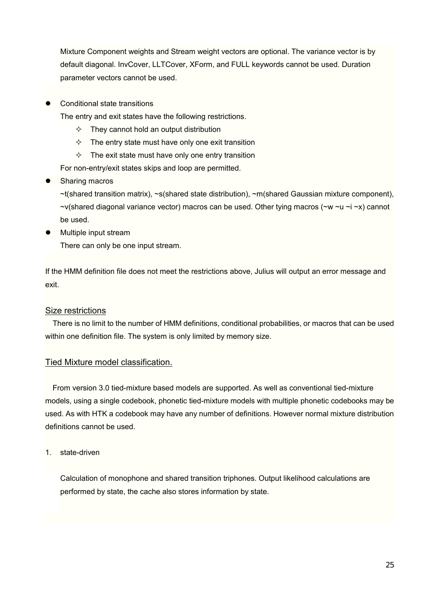Mixture Component weights and Stream weight vectors are optional. The variance vector is by default diagonal. InvCover, LLTCover, XForm, and FULL keywords cannot be used. Duration parameter vectors cannot be used.

Conditional state transitions

The entry and exit states have the following restrictions.

- $\Diamond$  They cannot hold an output distribution
- $\Diamond$  The entry state must have only one exit transition
- $\Diamond$  The exit state must have only one entry transition

For non-entry/exit states skips and loop are permitted.

Sharing macros

~t(shared transition matrix), ~s(shared state distribution), ~m(shared Gaussian mixture component),  $\nu$  -v(shared diagonal variance vector) macros can be used. Other tying macros ( $\nu$   $\nu$   $\nu$   $\nu$   $\sim$   $\nu$ ) cannot be used.

Multiple input stream

There can only be one input stream.

If the HMM definition file does not meet the restrictions above, Julius will output an error message and exit.

#### Size restrictions

There is no limit to the number of HMM definitions, conditional probabilities, or macros that can be used within one definition file. The system is only limited by memory size.

#### Tied Mixture model classification.

From version 3.0 tied-mixture based models are supported. As well as conventional tied-mixture models, using a single codebook, phonetic tied-mixture models with multiple phonetic codebooks may be used. As with HTK a codebook may have any number of definitions. However normal mixture distribution definitions cannot be used.

1. state-driven

Calculation of monophone and shared transition triphones. Output likelihood calculations are performed by state, the cache also stores information by state.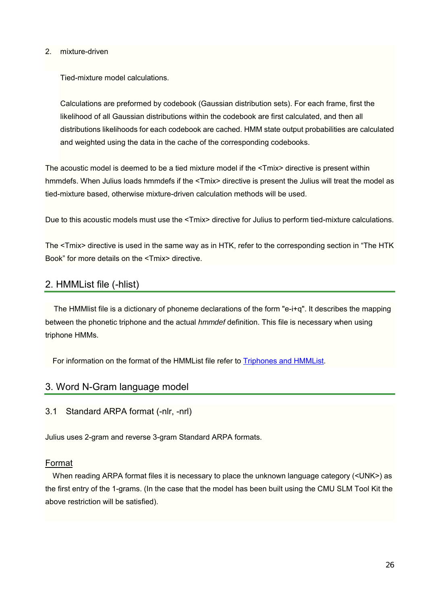#### <span id="page-25-0"></span>2. mixture-driven

Tied-mixture model calculations.

Calculations are preformed by codebook (Gaussian distribution sets). For each frame, first the likelihood of all Gaussian distributions within the codebook are first calculated, and then all distributions likelihoods for each codebook are cached. HMM state output probabilities are calculated and weighted using the data in the cache of the corresponding codebooks.

The acoustic model is deemed to be a tied mixture model if the <Tmix> directive is present within hmmdefs. When Julius loads hmmdefs if the <Tmix> directive is present the Julius will treat the model as tied-mixture based, otherwise mixture-driven calculation methods will be used.

Due to this acoustic models must use the <Tmix> directive for Julius to perform tied-mixture calculations.

The <Tmix> directive is used in the same way as in HTK, refer to the corresponding section in "The HTK Book" for more details on the <Tmix> directive.

### 2. HMMList file (-hlist)

 The HMMlist file is a dictionary of phoneme declarations of the form "e-i+q". It describes the mapping between the phonetic triphone and the actual *hmmdef* definition. This file is necessary when using triphone HMMs.

For information on the format of the HMMList file refer to [Triphones and HMMList](#page-31-0).

#### 3. Word N-Gram language model

3.1 Standard ARPA format (-nlr, -nrl)

Julius uses 2-gram and reverse 3-gram Standard ARPA formats.

#### Format

When reading ARPA format files it is necessary to place the unknown language category (<UNK>) as the first entry of the 1-grams. (In the case that the model has been built using the CMU SLM Tool Kit the above restriction will be satisfied).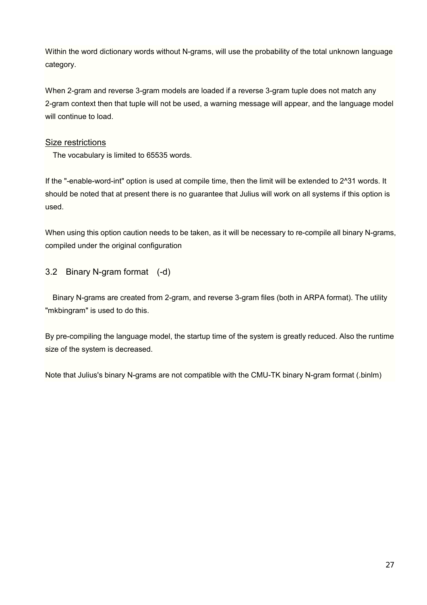<span id="page-26-0"></span>Within the word dictionary words without N-grams, will use the probability of the total unknown language category.

When 2-gram and reverse 3-gram models are loaded if a reverse 3-gram tuple does not match any 2-gram context then that tuple will not be used, a warning message will appear, and the language model will continue to load.

#### Size restrictions

The vocabulary is limited to 65535 words.

If the "-enable-word-int" option is used at compile time, then the limit will be extended to 2^31 words. It should be noted that at present there is no guarantee that Julius will work on all systems if this option is used.

When using this option caution needs to be taken, as it will be necessary to re-compile all binary N-grams, compiled under the original configuration

### 3.2 Binary N-gram format (-d)

Binary N-grams are created from 2-gram, and reverse 3-gram files (both in ARPA format). The utility "mkbingram" is used to do this.

By pre-compiling the language model, the startup time of the system is greatly reduced. Also the runtime size of the system is decreased.

Note that Julius's binary N-grams are not compatible with the CMU-TK binary N-gram format (.binlm)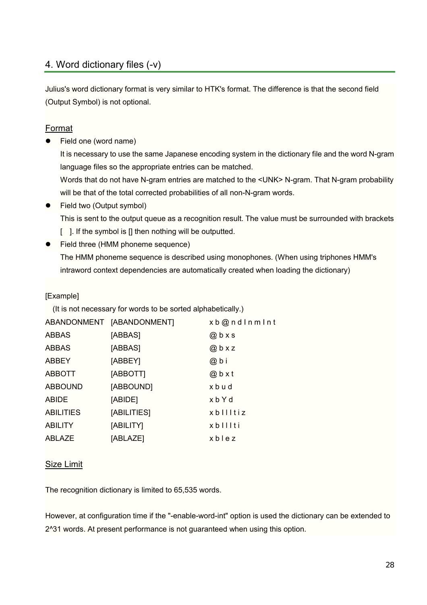# 4. Word dictionary files (-v)

Julius's word dictionary format is very similar to HTK's format. The difference is that the second field (Output Symbol) is not optional.

### Format

Field one (word name)

It is necessary to use the same Japanese encoding system in the dictionary file and the word N-gram language files so the appropriate entries can be matched.

Words that do not have N-gram entries are matched to the <UNK> N-gram. That N-gram probability will be that of the total corrected probabilities of all non-N-gram words.

• Field two (Output symbol)

This is sent to the output queue as a recognition result. The value must be surrounded with brackets

- [ ]. If the symbol is [] then nothing will be outputted.
- Field three (HMM phoneme sequence)

The HMM phoneme sequence is described using monophones. (When using triphones HMM's intraword context dependencies are automatically created when loading the dictionary)

#### [Example]

(It is not necessary for words to be sorted alphabetically.)

|                  | ABANDONMENT [ABANDONMENT] | xb@ndlnmlnt |
|------------------|---------------------------|-------------|
| <b>ABBAS</b>     | [ABBAS]                   | $@b$ x s    |
| <b>ABBAS</b>     | [ABBAS]                   | $@$ b x z   |
| <b>ABBEY</b>     | [ABBEY]                   | @ b i       |
| <b>ABBOTT</b>    | [ABBOTT]                  | @bxt        |
| <b>ABBOUND</b>   | [ABBOUND]                 | xbud        |
| <b>ABIDE</b>     | [ABIDE]                   | xbYd        |
| <b>ABILITIES</b> | [ABILITIES]               | xbllltiz    |
| <b>ABILITY</b>   | [ABILITY]                 | xblllti     |
| <b>ABLAZE</b>    | [ABLAZE]                  | xblez       |

#### **Size Limit**

The recognition dictionary is limited to 65,535 words.

However, at configuration time if the "-enable-word-int" option is used the dictionary can be extended to 2^31 words. At present performance is not guaranteed when using this option.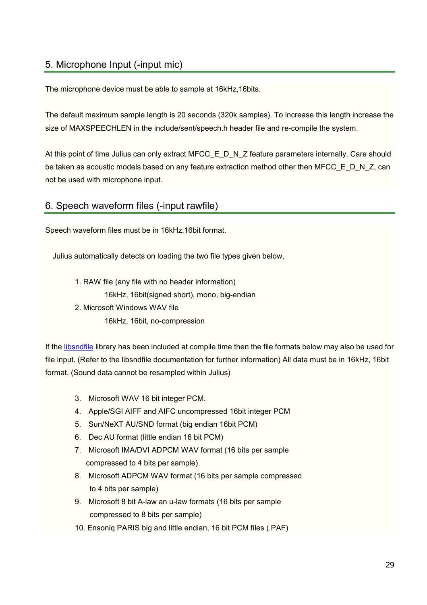# 5. Microphone Input (-input mic)

The microphone device must be able to sample at 16kHz,16bits.

The default maximum sample length is 20 seconds (320k samples). To increase this length increase the size of MAXSPEECHLEN in the include/sent/speech.h header file and re-compile the system.

At this point of time Julius can only extract MFCC\_E\_D\_N\_Z feature parameters internally. Care should be taken as acoustic models based on any feature extraction method other then MFCC  $E$  D N Z, can not be used with microphone input.

# 6. Speech waveform files (-input rawfile)

Speech waveform files must be in 16kHz,16bit format.

Julius automatically detects on loading the two file types given below,

 1. RAW file (any file with no header information) 16kHz, 16bit(signed short), mono, big-endian 2. Microsoft Windows WAV file

16kHz, 16bit, no-compression

If the [libsndfile](http://www.zip.com.au/~erikd/libsndfile/) library has been included at compile time then the file formats below may also be used for file input. (Refer to the libsndfile documentation for further information) All data must be in 16kHz, 16bit format. (Sound data cannot be resampled within Julius)

- 3. Microsoft WAV 16 bit integer PCM.
- 4. Apple/SGI AIFF and AIFC uncompressed 16bit integer PCM
- 5. Sun/NeXT AU/SND format (big endian 16bit PCM)
- 6. Dec AU format (little endian 16 bit PCM)
- 7. Microsoft IMA/DVI ADPCM WAV format (16 bits per sample compressed to 4 bits per sample).
- 8. Microsoft ADPCM WAV format (16 bits per sample compressed to 4 bits per sample)
- 9. Microsoft 8 bit A-law an u-law formats (16 bits per sample compressed to 8 bits per sample)
- 10. Ensoniq PARIS big and little endian, 16 bit PCM files (.PAF)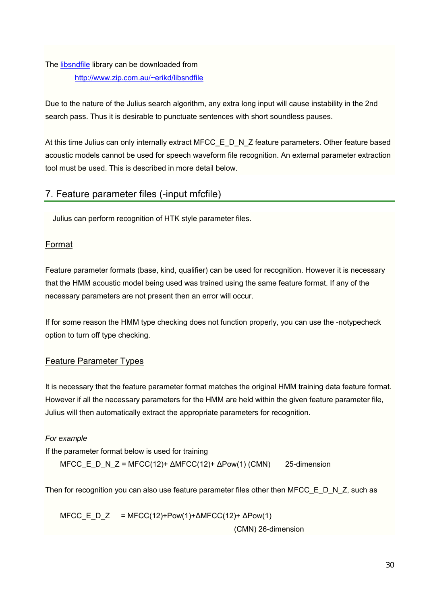# The [libsndfile](http://www.zip.com.au/~erikd/libsndfile/) library can be downloaded from [http://www.zip.com.au/~erikd/libsndfile](http://www.zip.com.au/~erikd/libsndfile/)

Due to the nature of the Julius search algorithm, any extra long input will cause instability in the 2nd search pass. Thus it is desirable to punctuate sentences with short soundless pauses.

At this time Julius can only internally extract MFCC\_E\_D\_N\_Z feature parameters. Other feature based acoustic models cannot be used for speech waveform file recognition. An external parameter extraction tool must be used. This is described in more detail below.

# 7. Feature parameter files (-input mfcfile)

Julius can perform recognition of HTK style parameter files.

#### Format

Feature parameter formats (base, kind, qualifier) can be used for recognition. However it is necessary that the HMM acoustic model being used was trained using the same feature format. If any of the necessary parameters are not present then an error will occur.

If for some reason the HMM type checking does not function properly, you can use the -notypecheck option to turn off type checking.

### Feature Parameter Types

It is necessary that the feature parameter format matches the original HMM training data feature format. However if all the necessary parameters for the HMM are held within the given feature parameter file, Julius will then automatically extract the appropriate parameters for recognition.

#### *For example*

If the parameter format below is used for training

MFCC\_E\_D\_N\_Z = MFCC(12)+  $\triangle MFCC(12)+ \triangle Pow(1)$  (CMN) 25-dimension

Then for recognition you can also use feature parameter files other then MFCC  $E$  D N Z, such as

MFCC E D Z = MFCC(12)+Pow(1)+ $\triangle$ MFCC(12)+  $\triangle$ Pow(1) (CMN) 26-dimension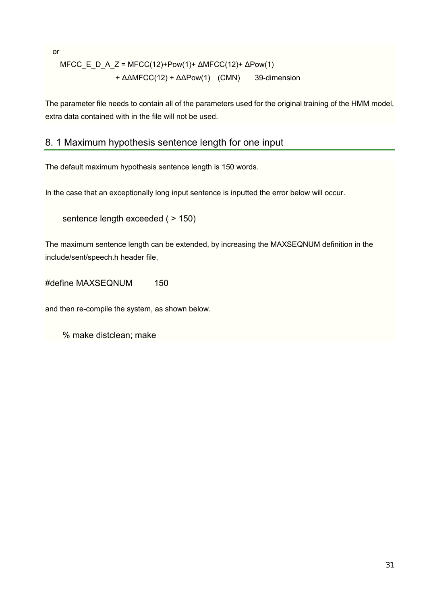or

$$
MFCC_E_D_A_Z = MFCC(12) + Pow(1) + \Delta MFCC(12) + \Delta Pow(1)
$$

$$
+ \Delta \Delta MFCC(12) + \Delta \Delta Pow(1) \quad (CMN) \quad 39\text{-dimension}
$$

The parameter file needs to contain all of the parameters used for the original training of the HMM model, extra data contained with in the file will not be used.

# 8. 1 Maximum hypothesis sentence length for one input

The default maximum hypothesis sentence length is 150 words.

In the case that an exceptionally long input sentence is inputted the error below will occur.

```
sentence length exceeded (> 150)
```
The maximum sentence length can be extended, by increasing the MAXSEQNUM definition in the include/sent/speech.h header file,

#define MAXSEQNUM 150

and then re-compile the system, as shown below.

% make distclean; make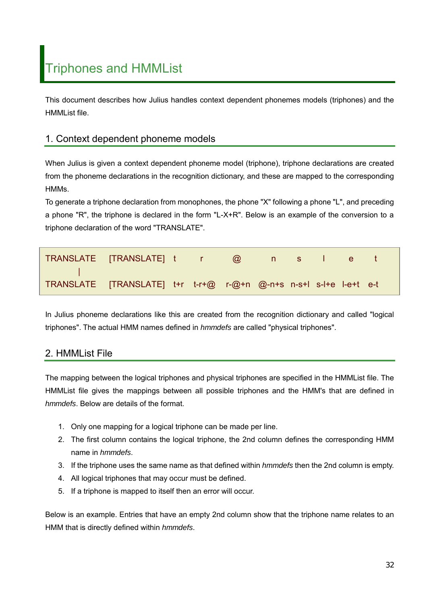<span id="page-31-0"></span>This document describes how Julius handles context dependent phonemes models (triphones) and the HMMList file.

# 1. Context dependent phoneme models

When Julius is given a context dependent phoneme model (triphone), triphone declarations are created from the phoneme declarations in the recognition dictionary, and these are mapped to the corresponding HMMs.

To generate a triphone declaration from monophones, the phone "X" following a phone "L", and preceding a phone "R", the triphone is declared in the form "L-X+R". Below is an example of the conversion to a triphone declaration of the word "TRANSLATE".

| TRANSLATE [TRANSLATE] t r @ n s l e t                             |  |  |  |  |  |
|-------------------------------------------------------------------|--|--|--|--|--|
| TRANSLATE [TRANSLATE] t+r t-r+@ r-@+n @-n+s n-s+l s-l+e l-e+t e-t |  |  |  |  |  |

In Julius phoneme declarations like this are created from the recognition dictionary and called "logical triphones". The actual HMM names defined in *hmmdefs* are called "physical triphones".

# 2. HMMList File

The mapping between the logical triphones and physical triphones are specified in the HMMList file. The HMMList file gives the mappings between all possible triphones and the HMM's that are defined in *hmmdefs*. Below are details of the format.

- 1. Only one mapping for a logical triphone can be made per line.
- 2. The first column contains the logical triphone, the 2nd column defines the corresponding HMM name in *hmmdefs*.
- 3. If the triphone uses the same name as that defined within *hmmdefs* then the 2nd column is empty.
- 4. All logical triphones that may occur must be defined.
- 5. If a triphone is mapped to itself then an error will occur.

Below is an example. Entries that have an empty 2nd column show that the triphone name relates to an HMM that is directly defined within *hmmdefs*.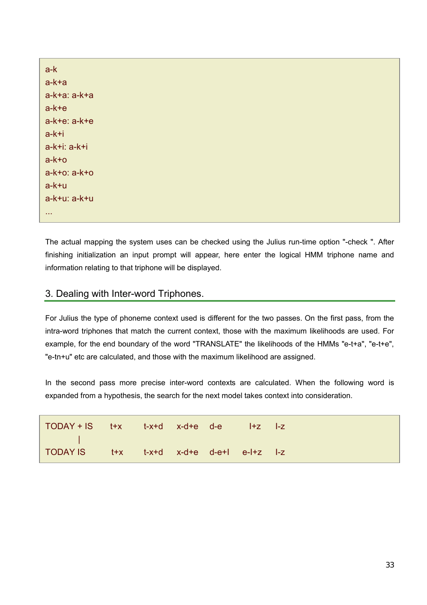| $a-k$             |
|-------------------|
| $a-k+a$           |
| $a-k+a$ : $a-k+a$ |
| $a-k+e$           |
| $a-k+e$ : $a-k+e$ |
| $a-k+i$           |
| $a-k+i$ : $a-k+i$ |
| $a-k+o$           |
| $a-k+o: a-k+o$    |
| $a-k+u$           |
| a-k+u: a-k+u      |
| $\sim 0.00$       |

The actual mapping the system uses can be checked using the Julius run-time option "-check ". After finishing initialization an input prompt will appear, here enter the logical HMM triphone name and information relating to that triphone will be displayed.

### 3. Dealing with Inter-word Triphones.

For Julius the type of phoneme context used is different for the two passes. On the first pass, from the intra-word triphones that match the current context, those with the maximum likelihoods are used. For example, for the end boundary of the word "TRANSLATE" the likelihoods of the HMMs "e-t+a", "e-t+e", "e-tn+u" etc are calculated, and those with the maximum likelihood are assigned.

In the second pass more precise inter-word contexts are calculated. When the following word is expanded from a hypothesis, the search for the next model takes context into consideration.

| TODAY + IS t+x t-x+d x-d+e d-e l+z l-z                                 |  |  |  |  |
|------------------------------------------------------------------------|--|--|--|--|
| and the state of the state<br>TODAY IS t+x t-x+d x-d+e d-e+l e-l+z l-z |  |  |  |  |
|                                                                        |  |  |  |  |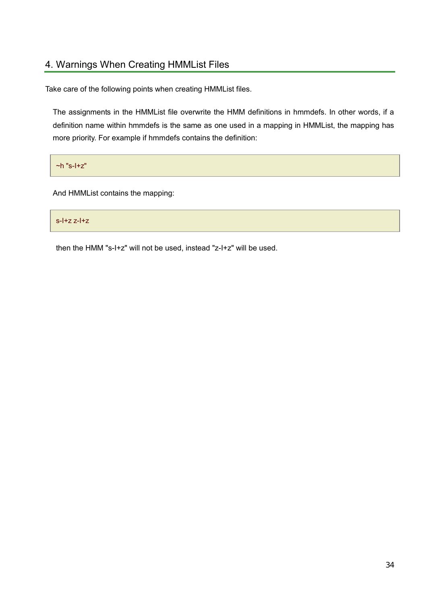# 4. Warnings When Creating HMMList Files

Take care of the following points when creating HMMList files.

The assignments in the HMMList file overwrite the HMM definitions in hmmdefs. In other words, if a definition name within hmmdefs is the same as one used in a mapping in HMMList, the mapping has more priority. For example if hmmdefs contains the definition:

 $\nightharpoonup$ h "s-I+z"

And HMMList contains the mapping:

s-I+z z-I+z

then the HMM "s-I+z" will not be used, instead "z-I+z" will be used.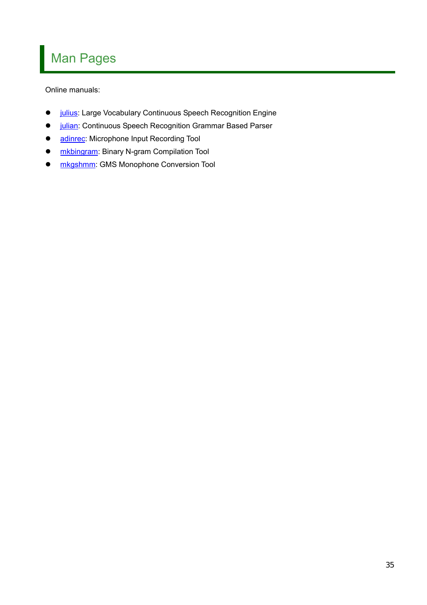# Man Pages

Online manuals:

- **[julius](#page-35-0):** Large Vocabulary Continuous Speech Recognition Engine
- *julian*: Continuous Speech Recognition Grammar Based Parser
- [adinrec:](#page-49-0) Microphone Input Recording Tool
- **[mkbingram:](#page-51-0) Binary N-gram Compilation Tool**
- **[mkgshmm](#page-52-0):** GMS Monophone Conversion Tool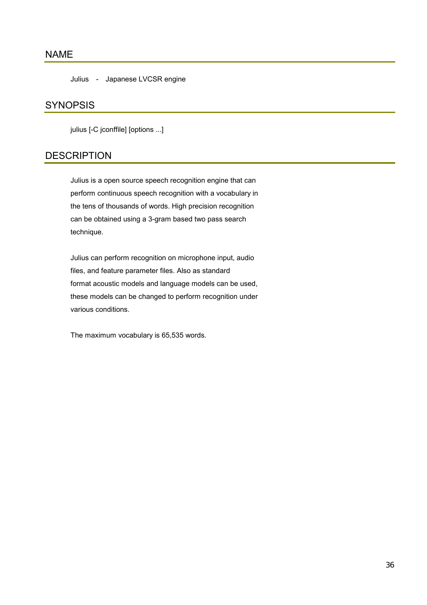## <span id="page-35-0"></span>NAME

Julius - Japanese LVCSR engine

#### **SYNOPSIS**

julius [-C jconffile] [options ...]

# **DESCRIPTION**

Julius is a open source speech recognition engine that can perform continuous speech recognition with a vocabulary in the tens of thousands of words. High precision recognition can be obtained using a 3-gram based two pass search technique.

 Julius can perform recognition on microphone input, audio files, and feature parameter files. Also as standard format acoustic models and language models can be used, these models can be changed to perform recognition under various conditions.

The maximum vocabulary is 65,535 words.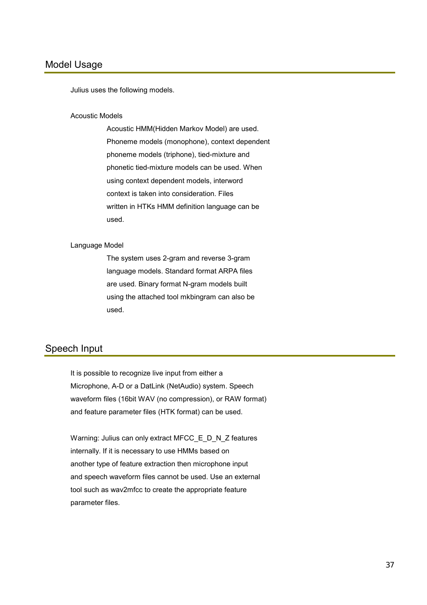Julius uses the following models.

### Acoustic Models

 Acoustic HMM(Hidden Markov Model) are used. Phoneme models (monophone), context dependent phoneme models (triphone), tied-mixture and phonetic tied-mixture models can be used. When using context dependent models, interword context is taken into consideration. Files written in HTKs HMM definition language can be used.

### Language Model

 The system uses 2-gram and reverse 3-gram language models. Standard format ARPA files are used. Binary format N-gram models built using the attached tool mkbingram can also be used.

### Speech Input

It is possible to recognize live input from either a Microphone, A-D or a DatLink (NetAudio) system. Speech waveform files (16bit WAV (no compression), or RAW format) and feature parameter files (HTK format) can be used.

 Warning: Julius can only extract MFCC\_E\_D\_N\_Z features internally. If it is necessary to use HMMs based on another type of feature extraction then microphone input and speech waveform files cannot be used. Use an external tool such as wav2mfcc to create the appropriate feature parameter files.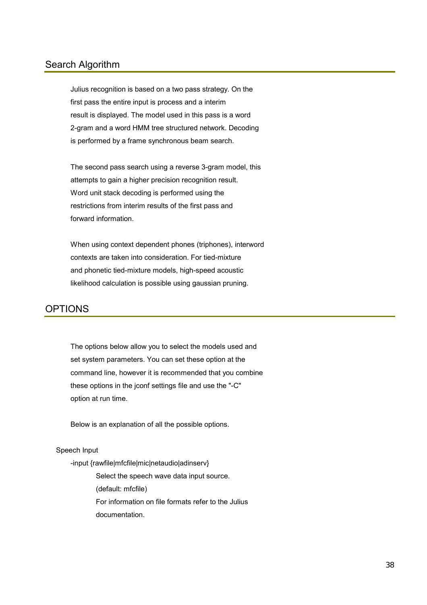### Search Algorithm

Julius recognition is based on a two pass strategy. On the first pass the entire input is process and a interim result is displayed. The model used in this pass is a word 2-gram and a word HMM tree structured network. Decoding is performed by a frame synchronous beam search.

The second pass search using a reverse 3-gram model, this attempts to gain a higher precision recognition result. Word unit stack decoding is performed using the restrictions from interim results of the first pass and forward information.

 When using context dependent phones (triphones), interword contexts are taken into consideration. For tied-mixture and phonetic tied-mixture models, high-speed acoustic likelihood calculation is possible using gaussian pruning.

### **OPTIONS**

The options below allow you to select the models used and set system parameters. You can set these option at the command line, however it is recommended that you combine these options in the jconf settings file and use the "-C" option at run time.

Below is an explanation of all the possible options.

### Speech Input

-input {rawfile|mfcfile|mic|netaudio|adinserv}

 Select the speech wave data input source. (default: mfcfile) For information on file formats refer to the Julius documentation.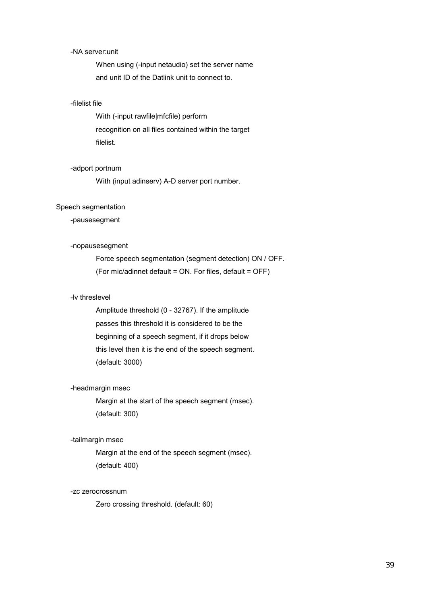### -NA server:unit

 When using (-input netaudio) set the server name and unit ID of the Datlink unit to connect to.

### -filelist file

 With (-input rawfile|mfcfile) perform recognition on all files contained within the target filelist.

#### -adport portnum

With (input adinserv) A-D server port number.

#### Speech segmentation

### -pausesegment

### -nopausesegment

 Force speech segmentation (segment detection) ON / OFF. (For mic/adinnet default = ON. For files, default = OFF)

### -lv threslevel

 Amplitude threshold (0 - 32767). If the amplitude passes this threshold it is considered to be the beginning of a speech segment, if it drops below this level then it is the end of the speech segment. (default: 3000)

#### -headmargin msec

 Margin at the start of the speech segment (msec). (default: 300)

#### -tailmargin msec

 Margin at the end of the speech segment (msec). (default: 400)

### -zc zerocrossnum

Zero crossing threshold. (default: 60)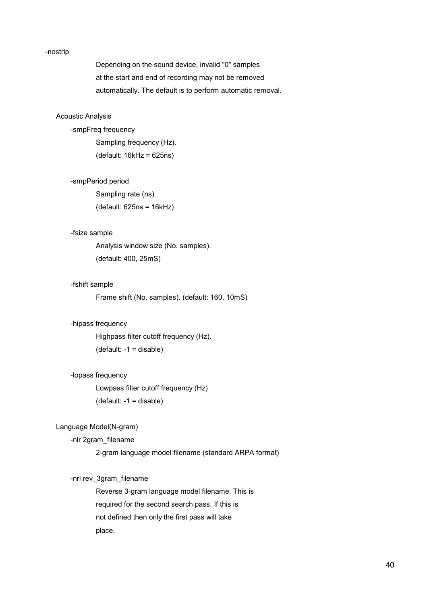#### -nostrip

 Depending on the sound device, invalid "0" samples at the start and end of recording may not be removed automatically. The default is to perform automatic removal.

### Acoustic Analysis

### -smpFreq frequency

 Sampling frequency (Hz). (default: 16kHz = 625ns)

```
 -smpPeriod period
```
 Sampling rate (ns) (default: 625ns = 16kHz)

### -fsize sample

 Analysis window size (No. samples). (default: 400, 25mS)

### -fshift sample

Frame shift (No. samples). (default: 160, 10mS)

### -hipass frequency

 Highpass filter cutoff frequency (Hz). (default: -1 = disable)

#### -lopass frequency

 Lowpass filter cutoff frequency (Hz) (default: -1 = disable)

### Language Model(N-gram)

### -nlr 2gram\_filename

2-gram language model filename (standard ARPA format)

### -nrl rev\_3gram\_filename

 Reverse 3-gram language model filename. This is required for the second search pass. If this is not defined then only the first pass will take place.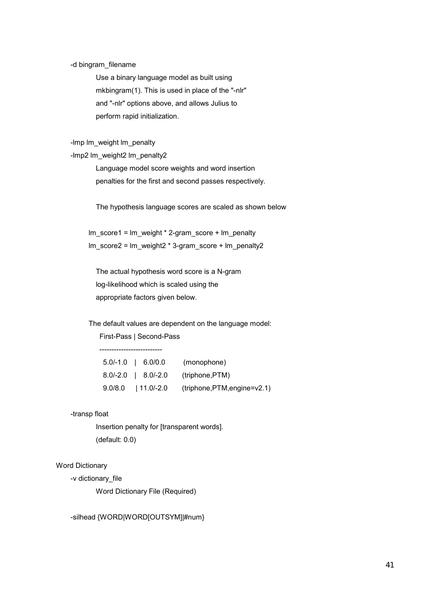#### -d bingram\_filename

 Use a binary language model as built using mkbingram(1). This is used in place of the "-nlr" and "-nlr" options above, and allows Julius to perform rapid initialization.

### -lmp lm\_weight lm\_penalty

-lmp2 lm\_weight2 lm\_penalty2

 Language model score weights and word insertion penalties for the first and second passes respectively.

The hypothesis language scores are scaled as shown below

Im score1 = lm\_weight \* 2-gram\_score + lm\_penalty lm\_score2 = lm\_weight2 \* 3-gram\_score + lm\_penalty2

 The actual hypothesis word score is a N-gram log-likelihood which is scaled using the appropriate factors given below.

 The default values are dependent on the language model: First-Pass | Second-Pass

| 5.0/-1.0 6.0/0.0 | (monophone)                                          |
|------------------|------------------------------------------------------|
|                  | 8.0/-2.0   8.0/-2.0 (triphone, PTM)                  |
|                  | $9.0/8.0$   11.0/-2.0 (triphone, PTM, engine = v2.1) |

### -transp float

--------------------------

 Insertion penalty for [transparent words]. (default: 0.0)

#### Word Dictionary

-v dictionary\_file

Word Dictionary File (Required)

### -silhead {WORD|WORD[OUTSYM]|#num}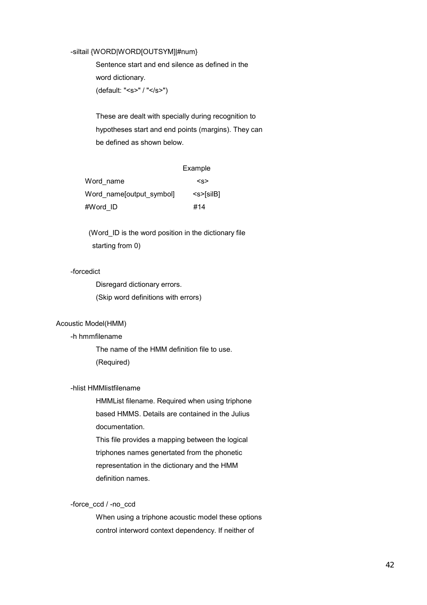### -siltail {WORD|WORD[OUTSYM]|#num}

 Sentence start and end silence as defined in the word dictionary.

(default: "<s>" / "</s>")

 These are dealt with specially during recognition to hypotheses start and end points (margins). They can be defined as shown below.

|                           | Example                                             |
|---------------------------|-----------------------------------------------------|
| Word name                 | < s                                                 |
| Word name [output symbol] | $<$ s> $\sqrt{s}$ l $\overline{s}$ l $\overline{B}$ |
| #Word ID                  | #14                                                 |

(Word ID is the word position in the dictionary file starting from 0)

### -forcedict

 Disregard dictionary errors. (Skip word definitions with errors)

### Acoustic Model(HMM)

### -h hmmfilename

 The name of the HMM definition file to use. (Required)

### -hlist HMMlistfilename

 HMMList filename. Required when using triphone based HMMS. Details are contained in the Julius documentation.

 This file provides a mapping between the logical triphones names genertated from the phonetic representation in the dictionary and the HMM definition names.

### -force\_ccd / -no\_ccd

 When using a triphone acoustic model these options control interword context dependency. If neither of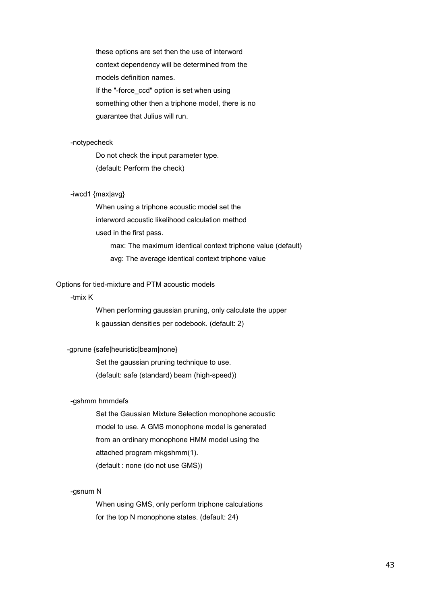these options are set then the use of interword context dependency will be determined from the models definition names. If the "-force ccd" option is set when using something other then a triphone model, there is no guarantee that Julius will run.

#### -notypecheck

 Do not check the input parameter type. (default: Perform the check)

### -iwcd1 {max|avg}

 When using a triphone acoustic model set the interword acoustic likelihood calculation method used in the first pass. max: The maximum identical context triphone value (default) avg: The average identical context triphone value

#### Options for tied-mixture and PTM acoustic models

### -tmix K

 When performing gaussian pruning, only calculate the upper k gaussian densities per codebook. (default: 2)

### -gprune {safe|heuristic|beam|none}

 Set the gaussian pruning technique to use. (default: safe (standard) beam (high-speed))

#### -gshmm hmmdefs

 Set the Gaussian Mixture Selection monophone acoustic model to use. A GMS monophone model is generated from an ordinary monophone HMM model using the attached program mkgshmm(1). (default : none (do not use GMS))

### -gsnum N

 When using GMS, only perform triphone calculations for the top N monophone states. (default: 24)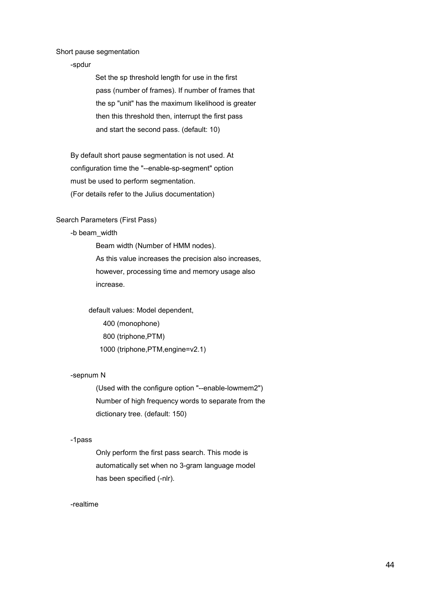Short pause segmentation

-spdur

Set the sp threshold length for use in the first pass (number of frames). If number of frames that the sp "unit" has the maximum likelihood is greater then this threshold then, interrupt the first pass and start the second pass. (default: 10)

By default short pause segmentation is not used. At configuration time the "--enable-sp-segment" option must be used to perform segmentation. (For details refer to the Julius documentation)

Search Parameters (First Pass)

-b beam\_width

 Beam width (Number of HMM nodes). As this value increases the precision also increases, however, processing time and memory usage also increase.

 default values: Model dependent, 400 (monophone) 800 (triphone,PTM) 1000 (triphone,PTM,engine=v2.1)

### -sepnum N

 (Used with the configure option "--enable-lowmem2") Number of high frequency words to separate from the dictionary tree. (default: 150)

#### -1pass

 Only perform the first pass search. This mode is automatically set when no 3-gram language model has been specified (-nlr).

#### -realtime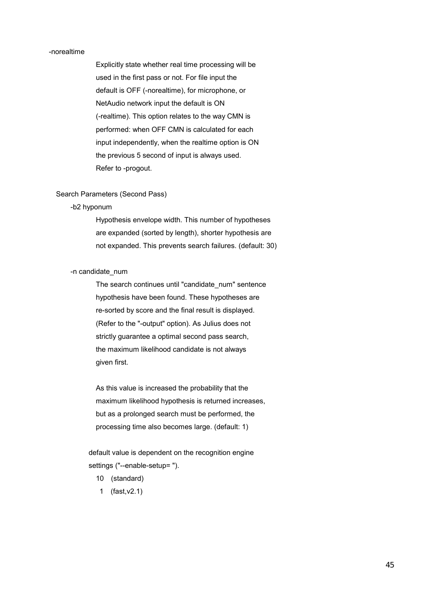### -norealtime

 Explicitly state whether real time processing will be used in the first pass or not. For file input the default is OFF (-norealtime), for microphone, or NetAudio network input the default is ON (-realtime). This option relates to the way CMN is performed: when OFF CMN is calculated for each input independently, when the realtime option is ON the previous 5 second of input is always used. Refer to -progout.

### Search Parameters (Second Pass)

#### -b2 hyponum

 Hypothesis envelope width. This number of hypotheses are expanded (sorted by length), shorter hypothesis are not expanded. This prevents search failures. (default: 30)

### -n candidate\_num

The search continues until "candidate num" sentence hypothesis have been found. These hypotheses are re-sorted by score and the final result is displayed. (Refer to the "-output" option). As Julius does not strictly guarantee a optimal second pass search, the maximum likelihood candidate is not always given first.

 As this value is increased the probability that the maximum likelihood hypothesis is returned increases, but as a prolonged search must be performed, the processing time also becomes large. (default: 1)

 default value is dependent on the recognition engine settings ("--enable-setup= ").

- 10 (standard)
- 1 (fast,v2.1)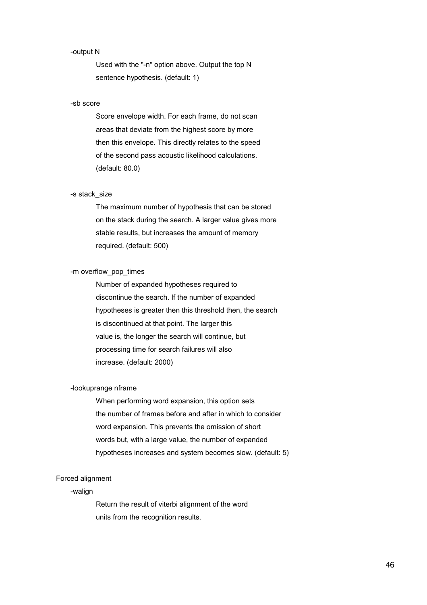### -output N

 Used with the "-n" option above. Output the top N sentence hypothesis. (default: 1)

#### -sb score

 Score envelope width. For each frame, do not scan areas that deviate from the highest score by more then this envelope. This directly relates to the speed of the second pass acoustic likelihood calculations. (default: 80.0)

### -s stack\_size

 The maximum number of hypothesis that can be stored on the stack during the search. A larger value gives more stable results, but increases the amount of memory required. (default: 500)

### -m overflow\_pop\_times

 Number of expanded hypotheses required to discontinue the search. If the number of expanded hypotheses is greater then this threshold then, the search is discontinued at that point. The larger this value is, the longer the search will continue, but processing time for search failures will also increase. (default: 2000)

#### -lookuprange nframe

 When performing word expansion, this option sets the number of frames before and after in which to consider word expansion. This prevents the omission of short words but, with a large value, the number of expanded hypotheses increases and system becomes slow. (default: 5)

### Forced alignment

### -walign

 Return the result of viterbi alignment of the word units from the recognition results.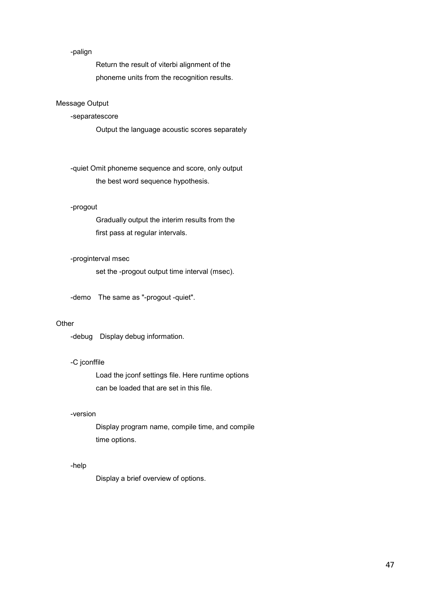### -palign

 Return the result of viterbi alignment of the phoneme units from the recognition results.

### Message Output

### -separatescore

Output the language acoustic scores separately

 -quiet Omit phoneme sequence and score, only output the best word sequence hypothesis.

### -progout

 Gradually output the interim results from the first pass at regular intervals.

### -proginterval msec

set the -progout output time interval (msec).

-demo The same as "-progout -quiet".

### **Other**

-debug Display debug information.

### -C jconffile

 Load the jconf settings file. Here runtime options can be loaded that are set in this file.

### -version

 Display program name, compile time, and compile time options.

#### -help

Display a brief overview of options.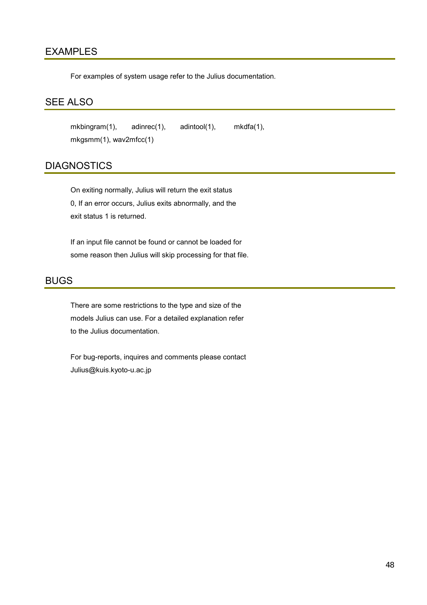### EXAMPLES

For examples of system usage refer to the Julius documentation.

### SEE ALSO

mkbingram(1), adinrec(1), adintool(1), mkdfa(1), mkgsmm(1), wav2mfcc(1)

### **DIAGNOSTICS**

 On exiting normally, Julius will return the exit status 0, If an error occurs, Julius exits abnormally, and the exit status 1 is returned.

If an input file cannot be found or cannot be loaded for some reason then Julius will skip processing for that file.

### BUGS

There are some restrictions to the type and size of the models Julius can use. For a detailed explanation refer to the Julius documentation.

 For bug-reports, inquires and comments please contact Julius@kuis.kyoto-u.ac.jp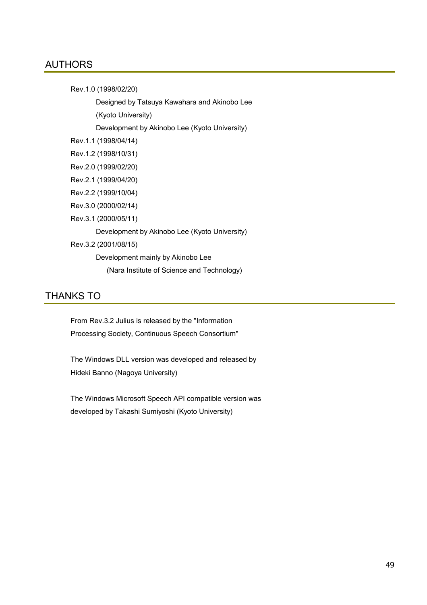### AUTHORS

Rev.1.0 (1998/02/20)

Designed by Tatsuya Kawahara and Akinobo Lee

(Kyoto University)

Development by Akinobo Lee (Kyoto University)

Rev.1.1 (1998/04/14)

Rev.1.2 (1998/10/31)

Rev.2.0 (1999/02/20)

Rev.2.1 (1999/04/20)

Rev.2.2 (1999/10/04)

Rev.3.0 (2000/02/14)

Rev.3.1 (2000/05/11)

Development by Akinobo Lee (Kyoto University)

Rev.3.2 (2001/08/15)

Development mainly by Akinobo Lee

(Nara Institute of Science and Technology)

### THANKS TO

 From Rev.3.2 Julius is released by the "Information Processing Society, Continuous Speech Consortium"

The Windows DLL version was developed and released by Hideki Banno (Nagoya University)

 The Windows Microsoft Speech API compatible version was developed by Takashi Sumiyoshi (Kyoto University)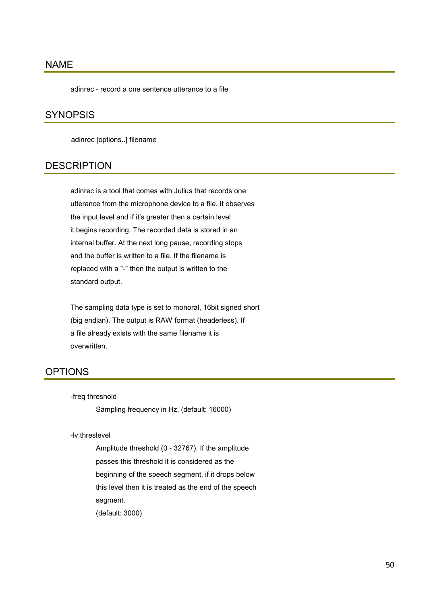### NAME

adinrec - record a one sentence utterance to a file

### **SYNOPSIS**

adinrec [options..] filename

### **DESCRIPTION**

adinrec is a tool that comes with Julius that records one utterance from the microphone device to a file. It observes the input level and if it's greater then a certain level it begins recording. The recorded data is stored in an internal buffer. At the next long pause, recording stops and the buffer is written to a file. If the filename is replaced with a "-" then the output is written to the standard output.

The sampling data type is set to monoral, 16bit signed short (big endian). The output is RAW format (headerless). If a file already exists with the same filename it is overwritten.

### OPTIONS

-freq threshold

Sampling frequency in Hz. (default: 16000)

### -lv threslevel

 Amplitude threshold (0 - 32767). If the amplitude passes this threshold it is considered as the beginning of the speech segment, if it drops below this level then it is treated as the end of the speech segment. (default: 3000)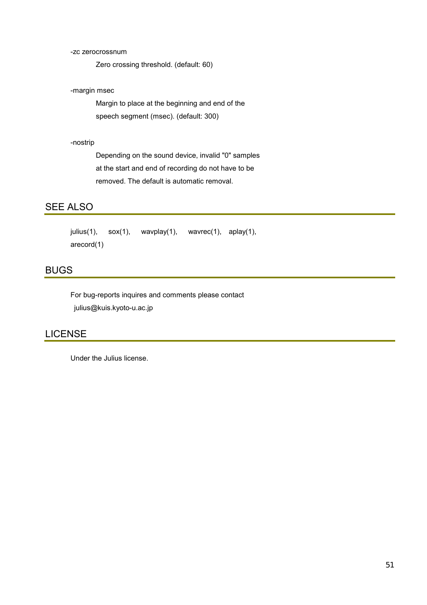### -zc zerocrossnum

Zero crossing threshold. (default: 60)

### -margin msec

 Margin to place at the beginning and end of the speech segment (msec). (default: 300)

-nostrip

 Depending on the sound device, invalid "0" samples at the start and end of recording do not have to be removed. The default is automatic removal.

### SEE ALSO

```
julius(1), sox(1), wavplay(1), wavrec(1), aplay(1),
arecord(1)
```
### BUGS

 For bug-reports inquires and comments please contact julius@kuis.kyoto-u.ac.jp

### LICENSE

Under the Julius license.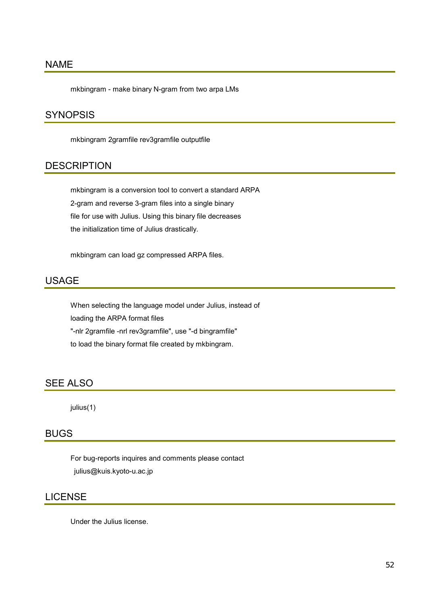### NAME

mkbingram - make binary N-gram from two arpa LMs

### **SYNOPSIS**

mkbingram 2gramfile rev3gramfile outputfile

### **DESCRIPTION**

mkbingram is a conversion tool to convert a standard ARPA 2-gram and reverse 3-gram files into a single binary file for use with Julius. Using this binary file decreases the initialization time of Julius drastically.

mkbingram can load gz compressed ARPA files.

### USAGE

When selecting the language model under Julius, instead of loading the ARPA format files "-nlr 2gramfile -nrl rev3gramfile", use "-d bingramfile" to load the binary format file created by mkbingram.

### SEE ALSO

julius(1)

### BUGS

 For bug-reports inquires and comments please contact julius@kuis.kyoto-u.ac.jp

### LICENSE

Under the Julius license.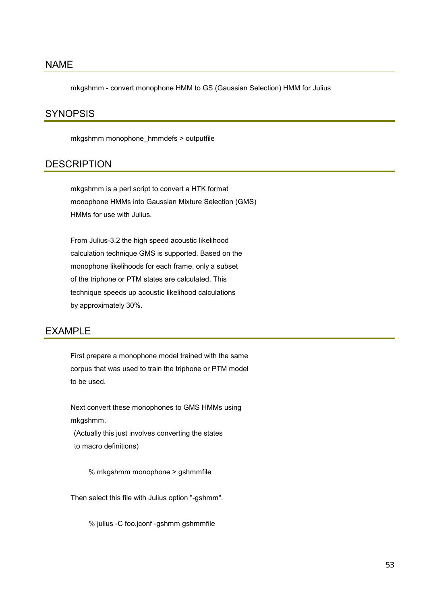### NAME

mkgshmm - convert monophone HMM to GS (Gaussian Selection) HMM for Julius

### **SYNOPSIS**

mkgshmm monophone\_hmmdefs > outputfile

### **DESCRIPTION**

mkgshmm is a perl script to convert a HTK format monophone HMMs into Gaussian Mixture Selection (GMS) HMMs for use with Julius.

 From Julius-3.2 the high speed acoustic likelihood calculation technique GMS is supported. Based on the monophone likelihoods for each frame, only a subset of the triphone or PTM states are calculated. This technique speeds up acoustic likelihood calculations by approximately 30%.

### EXAMPLE

First prepare a monophone model trained with the same corpus that was used to train the triphone or PTM model to be used.

 Next convert these monophones to GMS HMMs using mkgshmm.

(Actually this just involves converting the states to macro definitions)

% mkgshmm monophone > gshmmfile

Then select this file with Julius option "-gshmm".

% julius -C foo.jconf -gshmm gshmmfile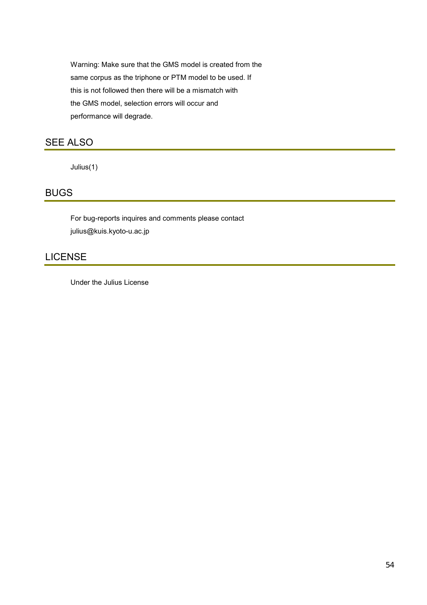Warning: Make sure that the GMS model is created from the same corpus as the triphone or PTM model to be used. If this is not followed then there will be a mismatch with the GMS model, selection errors will occur and performance will degrade.

### SEE ALSO

Julius(1)

### BUGS

 For bug-reports inquires and comments please contact julius@kuis.kyoto-u.ac.jp

### LICENSE

Under the Julius License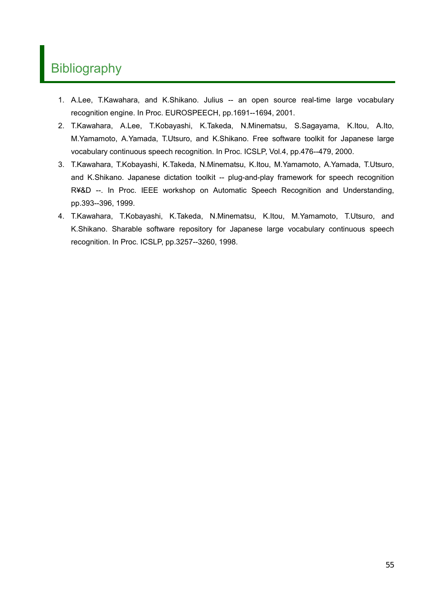## **Bibliography**

- 1. A.Lee, T.Kawahara, and K.Shikano. Julius -- an open source real-time large vocabulary recognition engine. In Proc. EUROSPEECH, pp.1691--1694, 2001.
- 2. T.Kawahara, A.Lee, T.Kobayashi, K.Takeda, N.Minematsu, S.Sagayama, K.Itou, A.Ito, M.Yamamoto, A.Yamada, T.Utsuro, and K.Shikano. Free software toolkit for Japanese large vocabulary continuous speech recognition. In Proc. ICSLP, Vol.4, pp.476--479, 2000.
- 3. T.Kawahara, T.Kobayashi, K.Takeda, N.Minematsu, K.Itou, M.Yamamoto, A.Yamada, T.Utsuro, and K.Shikano. Japanese dictation toolkit -- plug-and-play framework for speech recognition R¥&D --. In Proc. IEEE workshop on Automatic Speech Recognition and Understanding, pp.393--396, 1999.
- 4. T.Kawahara, T.Kobayashi, K.Takeda, N.Minematsu, K.Itou, M.Yamamoto, T.Utsuro, and K.Shikano. Sharable software repository for Japanese large vocabulary continuous speech recognition. In Proc. ICSLP, pp.3257--3260, 1998.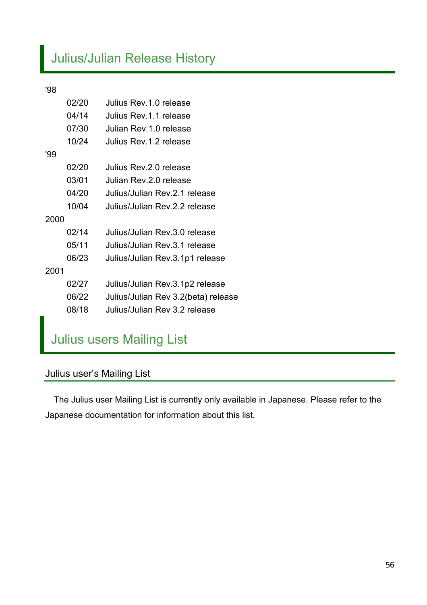# Julius/Julian Release History

### '98

|      | 02/20 | Julius Rev. 1.0 release             |
|------|-------|-------------------------------------|
|      | 04/14 | Julius Rev. 1.1 release             |
|      | 07/30 | Julian Rev. 1.0 release             |
|      | 10/24 | Julius Rev. 1.2 release             |
| '99  |       |                                     |
|      | 02/20 | Julius Rev.2.0 release              |
|      | 03/01 | Julian Rev. 2.0 release             |
|      | 04/20 | Julius/Julian Rev. 2.1 release      |
|      | 10/04 | Julius/Julian Rev. 2.2 release      |
| 2000 |       |                                     |
|      | 02/14 | Julius/Julian Rev.3.0 release       |
|      | 05/11 | Julius/Julian Rev.3.1 release       |
|      | 06/23 | Julius/Julian Rev.3.1p1 release     |
| 2001 |       |                                     |
|      | 02/27 | Julius/Julian Rev.3.1p2 release     |
|      | 06/22 | Julius/Julian Rev 3.2(beta) release |
|      | 08/18 | Julius/Julian Rev 3.2 release       |
|      |       |                                     |

# Julius users Mailing List

### Julius user's Mailing List

The Julius user Mailing List is currently only available in Japanese. Please refer to the Japanese documentation for information about this list.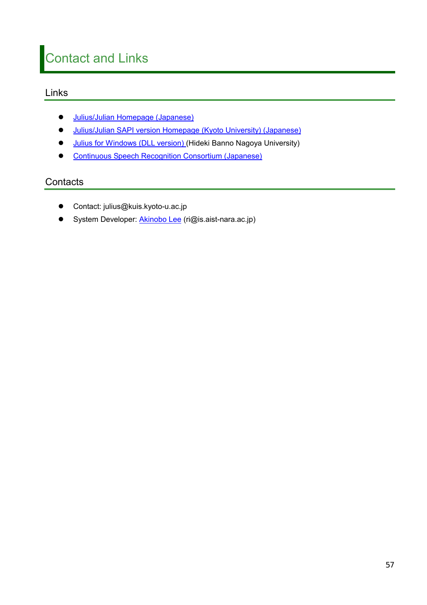# Contact and Links

### Links

- **Julius/Julian Homepage (Japanese)**
- **•** Julius/Julian SAPI version Homepage (Kyoto University) (Japanese)
- **•** [Julius for Windows \(DLL version\)](http://www.itakura.nuee.nagoya-u.ac.jp/people/banno/index-j.html) (Hideki Banno Nagoya University)
- **•** [Continuous Speech Recognition Consortium \(Japanese\)](http://www.lang.astem.or.jp/CSRC/)

### **Contacts**

- Contact: julius@kuis.kyoto-u.ac.jp
- System Developer: **Akinobo Lee** (ri@is.aist-nara.ac.jp)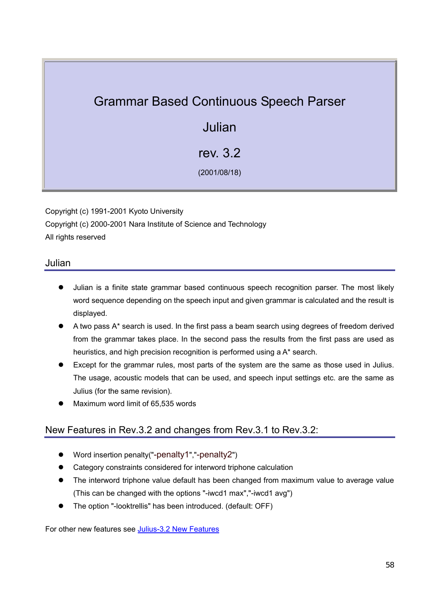## Grammar Based Continuous Speech Parser

## Julian

### rev. 3.2

(2001/08/18)

Copyright (c) 1991-2001 Kyoto University Copyright (c) 2000-2001 Nara Institute of Science and Technology All rights reserved

### Julian

- Julian is a finite state grammar based continuous speech recognition parser. The most likely word sequence depending on the speech input and given grammar is calculated and the result is displayed.
- A two pass  $A^*$  search is used. In the first pass a beam search using degrees of freedom derived from the grammar takes place. In the second pass the results from the first pass are used as heuristics, and high precision recognition is performed using a A\* search.
- Except for the grammar rules, most parts of the system are the same as those used in Julius. The usage, acoustic models that can be used, and speech input settings etc. are the same as Julius (for the same revision).
- Maximum word limit of 65,535 words

### New Features in Rev.3.2 and changes from Rev.3.1 to Rev.3.2:

- Word insertion penalty("-penalty1","-penalty2")
- Category constraints considered for interword triphone calculation
- The interword triphone value default has been changed from maximum value to average value (This can be changed with the options "-iwcd1 max","-iwcd1 avg")
- The option "-looktrellis" has been introduced. (default: OFF)

For other new features see [Julius-3.2 New Features](#page-3-0)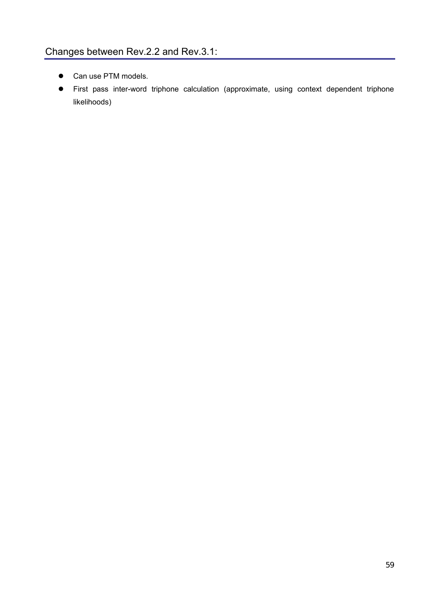- Can use PTM models.
- First pass inter-word triphone calculation (approximate, using context dependent triphone likelihoods)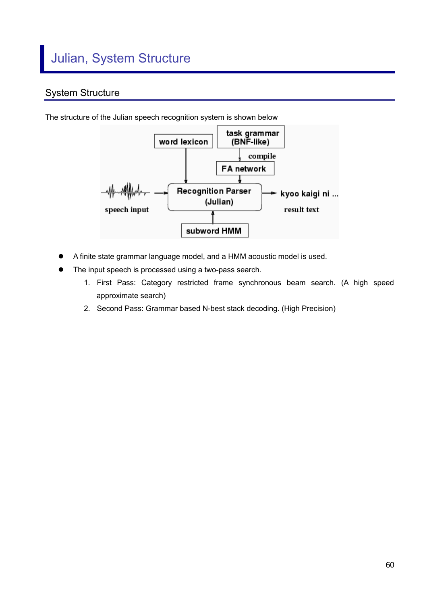### System Structure



The structure of the Julian speech recognition system is shown below

- A finite state grammar language model, and a HMM acoustic model is used.
- The input speech is processed using a two-pass search.
	- 1. First Pass: Category restricted frame synchronous beam search. (A high speed approximate search)
	- 2. Second Pass: Grammar based N-best stack decoding. (High Precision)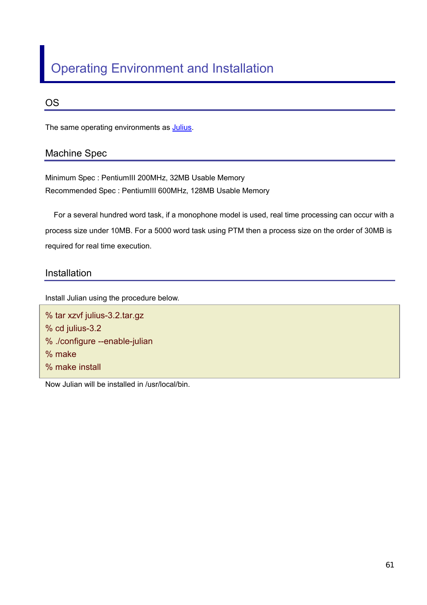# Operating Environment and Installation

### OS

The same operating environments as **Julius**.

### Machine Spec

Minimum Spec : PentiumIII 200MHz, 32MB Usable Memory Recommended Spec : PentiumIII 600MHz, 128MB Usable Memory

For a several hundred word task, if a monophone model is used, real time processing can occur with a process size under 10MB. For a 5000 word task using PTM then a process size on the order of 30MB is required for real time execution.

### Installation

Install Julian using the procedure below.

% tar xzvf julius-3.2.tar.gz % cd julius-3.2 % ./configure --enable-julian % make % make install

Now Julian will be installed in /usr/local/bin.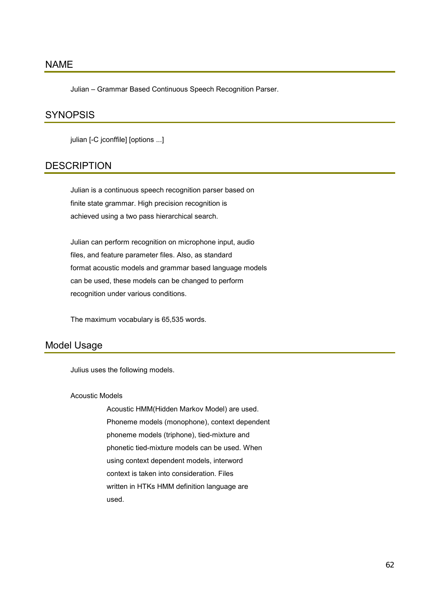### NAME

Julian – Grammar Based Continuous Speech Recognition Parser.

### **SYNOPSIS**

julian [-C jconffile] [options ...]

### **DESCRIPTION**

Julian is a continuous speech recognition parser based on finite state grammar. High precision recognition is achieved using a two pass hierarchical search.

 Julian can perform recognition on microphone input, audio files, and feature parameter files. Also, as standard format acoustic models and grammar based language models can be used, these models can be changed to perform recognition under various conditions.

The maximum vocabulary is 65,535 words.

### Model Usage

Julius uses the following models.

Acoustic Models

 Acoustic HMM(Hidden Markov Model) are used. Phoneme models (monophone), context dependent phoneme models (triphone), tied-mixture and phonetic tied-mixture models can be used. When using context dependent models, interword context is taken into consideration. Files written in HTKs HMM definition language are used.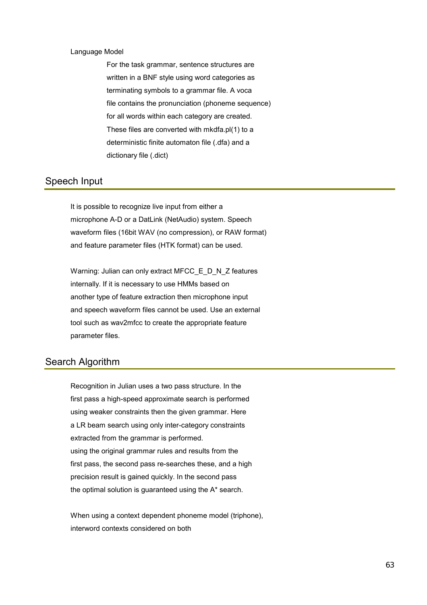### Language Model

 For the task grammar, sentence structures are written in a BNF style using word categories as terminating symbols to a grammar file. A voca file contains the pronunciation (phoneme sequence) for all words within each category are created. These files are converted with mkdfa.pl(1) to a deterministic finite automaton file (.dfa) and a dictionary file (.dict)

### Speech Input

It is possible to recognize live input from either a microphone A-D or a DatLink (NetAudio) system. Speech waveform files (16bit WAV (no compression), or RAW format) and feature parameter files (HTK format) can be used.

Warning: Julian can only extract MFCC\_E\_D\_N\_Z features internally. If it is necessary to use HMMs based on another type of feature extraction then microphone input and speech waveform files cannot be used. Use an external tool such as wav2mfcc to create the appropriate feature parameter files.

### Search Algorithm

Recognition in Julian uses a two pass structure. In the first pass a high-speed approximate search is performed using weaker constraints then the given grammar. Here a LR beam search using only inter-category constraints extracted from the grammar is performed. using the original grammar rules and results from the first pass, the second pass re-searches these, and a high precision result is gained quickly. In the second pass the optimal solution is guaranteed using the A\* search.

 When using a context dependent phoneme model (triphone), interword contexts considered on both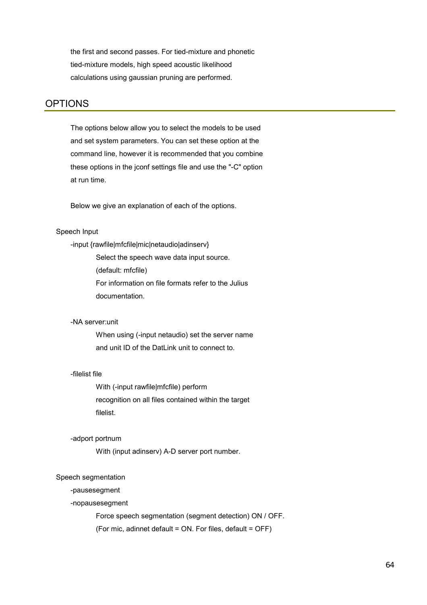the first and second passes. For tied-mixture and phonetic tied-mixture models, high speed acoustic likelihood calculations using gaussian pruning are performed.

### OPTIONS

The options below allow you to select the models to be used and set system parameters. You can set these option at the command line, however it is recommended that you combine these options in the jconf settings file and use the "-C" option at run time.

Below we give an explanation of each of the options.

### Speech Input

-input {rawfile|mfcfile|mic|netaudio|adinserv}

Select the speech wave data input source.

(default: mfcfile)

 For information on file formats refer to the Julius documentation.

### -NA server:unit

 When using (-input netaudio) set the server name and unit ID of the DatLink unit to connect to.

### -filelist file

 With (-input rawfile|mfcfile) perform recognition on all files contained within the target filelist.

#### -adport portnum

With (input adinserv) A-D server port number.

#### Speech segmentation

### -pausesegment

-nopausesegment

Force speech segmentation (segment detection) ON / OFF.

(For mic, adinnet default = ON. For files, default = OFF)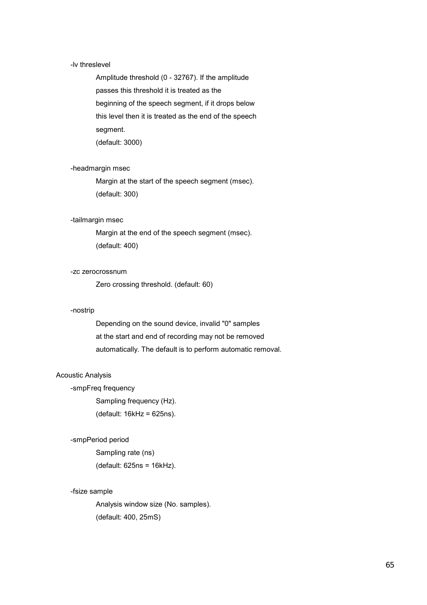#### -lv threslevel

 Amplitude threshold (0 - 32767). If the amplitude passes this threshold it is treated as the beginning of the speech segment, if it drops below this level then it is treated as the end of the speech segment. (default: 3000)

### -headmargin msec

 Margin at the start of the speech segment (msec). (default: 300)

### -tailmargin msec

 Margin at the end of the speech segment (msec). (default: 400)

### -zc zerocrossnum

Zero crossing threshold. (default: 60)

### -nostrip

 Depending on the sound device, invalid "0" samples at the start and end of recording may not be removed automatically. The default is to perform automatic removal.

### Acoustic Analysis

-smpFreq frequency

Sampling frequency (Hz).

(default: 16kHz = 625ns).

#### -smpPeriod period

 Sampling rate (ns) (default: 625ns = 16kHz).

### -fsize sample

 Analysis window size (No. samples). (default: 400, 25mS)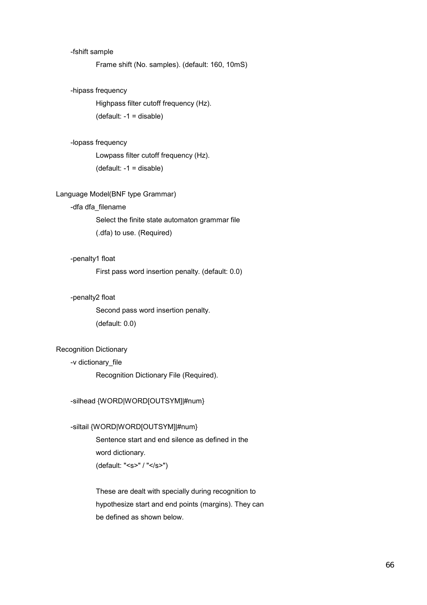### -fshift sample

Frame shift (No. samples). (default: 160, 10mS)

### -hipass frequency

 Highpass filter cutoff frequency (Hz). (default: -1 = disable)

### -lopass frequency

 Lowpass filter cutoff frequency (Hz). (default: -1 = disable)

### Language Model(BNF type Grammar)

### -dfa dfa\_filename

 Select the finite state automaton grammar file (.dfa) to use. (Required)

### -penalty1 float

First pass word insertion penalty. (default: 0.0)

### -penalty2 float

 Second pass word insertion penalty. (default: 0.0)

### Recognition Dictionary

### -v dictionary\_file

Recognition Dictionary File (Required).

### -silhead {WORD|WORD[OUTSYM]|#num}

### -siltail {WORD|WORD[OUTSYM]|#num}

 Sentence start and end silence as defined in the word dictionary. (default: "<s>" / "</s>")

 These are dealt with specially during recognition to hypothesize start and end points (margins). They can be defined as shown below.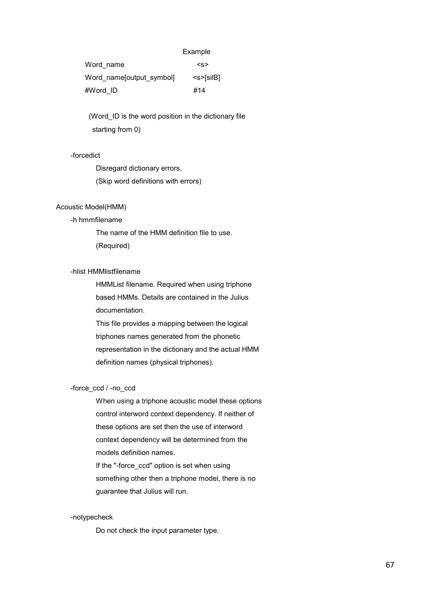#### Example

| Word name                | <s></s>                      |
|--------------------------|------------------------------|
| Word name[output_symbol] | $\leq$ s> $\leq$ silB $\mid$ |
| #Word ID                 | #14                          |

(Word ID is the word position in the dictionary file starting from 0)

### -forcedict

 Disregard dictionary errors. (Skip word definitions with errors)

#### Acoustic Model(HMM)

### -h hmmfilename

 The name of the HMM definition file to use. (Required)

### -hlist HMMlistfilename

 HMMList filename. Required when using triphone based HMMs. Details are contained in the Julius documentation.

 This file provides a mapping between the logical triphones names generated from the phonetic representation in the dictionary and the actual HMM definition names (physical triphones).

#### -force\_ccd / -no\_ccd

 When using a triphone acoustic model these options control interword context dependency. If neither of these options are set then the use of interword context dependency will be determined from the models definition names. If the "-force ccd" option is set when using

 something other then a triphone model, there is no guarantee that Julius will run.

#### -notypecheck

Do not check the input parameter type.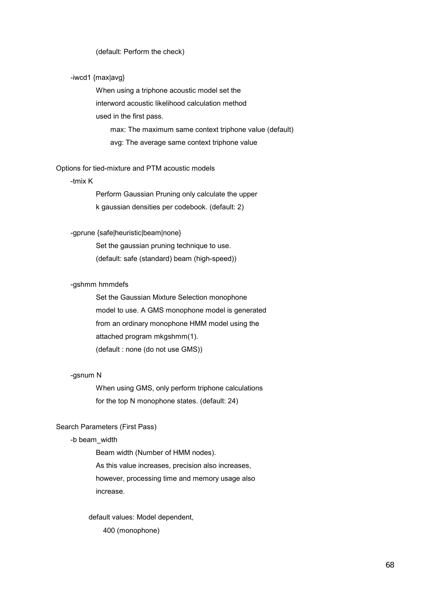#### (default: Perform the check)

### -iwcd1 {max|avg}

 When using a triphone acoustic model set the interword acoustic likelihood calculation method used in the first pass. max: The maximum same context triphone value (default) avg: The average same context triphone value

### Options for tied-mixture and PTM acoustic models

#### -tmix K

 Perform Gaussian Pruning only calculate the upper k gaussian densities per codebook. (default: 2)

### -gprune {safe|heuristic|beam|none}

 Set the gaussian pruning technique to use. (default: safe (standard) beam (high-speed))

### -gshmm hmmdefs

 Set the Gaussian Mixture Selection monophone model to use. A GMS monophone model is generated from an ordinary monophone HMM model using the attached program mkgshmm(1). (default : none (do not use GMS))

### -gsnum N

 When using GMS, only perform triphone calculations for the top N monophone states. (default: 24)

### Search Parameters (First Pass)

### -b beam\_width

 Beam width (Number of HMM nodes). As this value increases, precision also increases, however, processing time and memory usage also increase.

 default values: Model dependent, 400 (monophone)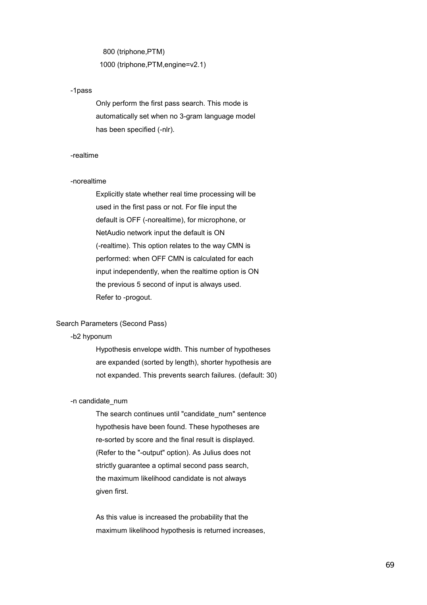800 (triphone,PTM) 1000 (triphone,PTM,engine=v2.1)

#### -1pass

 Only perform the first pass search. This mode is automatically set when no 3-gram language model has been specified (-nlr).

#### -realtime

#### -norealtime

 Explicitly state whether real time processing will be used in the first pass or not. For file input the default is OFF (-norealtime), for microphone, or NetAudio network input the default is ON (-realtime). This option relates to the way CMN is performed: when OFF CMN is calculated for each input independently, when the realtime option is ON the previous 5 second of input is always used. Refer to -progout.

### Search Parameters (Second Pass)

### -b2 hyponum

 Hypothesis envelope width. This number of hypotheses are expanded (sorted by length), shorter hypothesis are not expanded. This prevents search failures. (default: 30)

#### -n candidate\_num

The search continues until "candidate num" sentence hypothesis have been found. These hypotheses are re-sorted by score and the final result is displayed. (Refer to the "-output" option). As Julius does not strictly guarantee a optimal second pass search, the maximum likelihood candidate is not always given first.

 As this value is increased the probability that the maximum likelihood hypothesis is returned increases,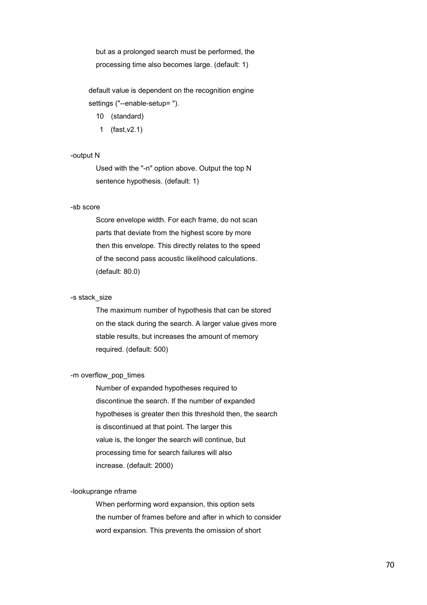but as a prolonged search must be performed, the processing time also becomes large. (default: 1)

 default value is dependent on the recognition engine settings ("--enable-setup= ").

- 10 (standard)
- 1 (fast,v2.1)

### -output N

 Used with the "-n" option above. Output the top N sentence hypothesis. (default: 1)

### -sb score

 Score envelope width. For each frame, do not scan parts that deviate from the highest score by more then this envelope. This directly relates to the speed of the second pass acoustic likelihood calculations. (default: 80.0)

#### -s stack\_size

 The maximum number of hypothesis that can be stored on the stack during the search. A larger value gives more stable results, but increases the amount of memory required. (default: 500)

#### -m overflow\_pop\_times

 Number of expanded hypotheses required to discontinue the search. If the number of expanded hypotheses is greater then this threshold then, the search is discontinued at that point. The larger this value is, the longer the search will continue, but processing time for search failures will also increase. (default: 2000)

#### -lookuprange nframe

 When performing word expansion, this option sets the number of frames before and after in which to consider word expansion. This prevents the omission of short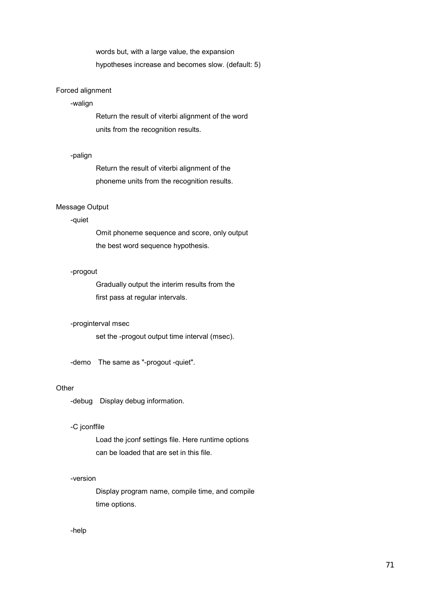words but, with a large value, the expansion hypotheses increase and becomes slow. (default: 5)

### Forced alignment

### -walign

 Return the result of viterbi alignment of the word units from the recognition results.

### -palign

 Return the result of viterbi alignment of the phoneme units from the recognition results.

### Message Output

### -quiet

 Omit phoneme sequence and score, only output the best word sequence hypothesis.

### -progout

 Gradually output the interim results from the first pass at regular intervals.

#### -proginterval msec

set the -progout output time interval (msec).

-demo The same as "-progout -quiet".

### **Other**

-debug Display debug information.

### -C jconffile

 Load the jconf settings file. Here runtime options can be loaded that are set in this file.

### -version

 Display program name, compile time, and compile time options.

-help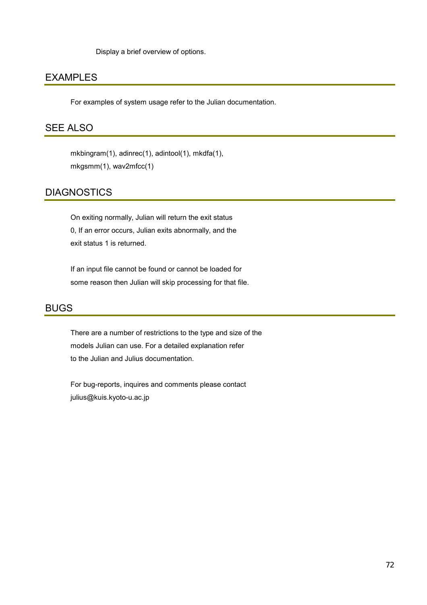Display a brief overview of options.

### EXAMPLES

For examples of system usage refer to the Julian documentation.

### SEE ALSO

 mkbingram(1), adinrec(1), adintool(1), mkdfa(1), mkgsmm(1), wav2mfcc(1)

### **DIAGNOSTICS**

 On exiting normally, Julian will return the exit status 0, If an error occurs, Julian exits abnormally, and the exit status 1 is returned.

If an input file cannot be found or cannot be loaded for some reason then Julian will skip processing for that file.

### BUGS

There are a number of restrictions to the type and size of the models Julian can use. For a detailed explanation refer to the Julian and Julius documentation.

 For bug-reports, inquires and comments please contact julius@kuis.kyoto-u.ac.jp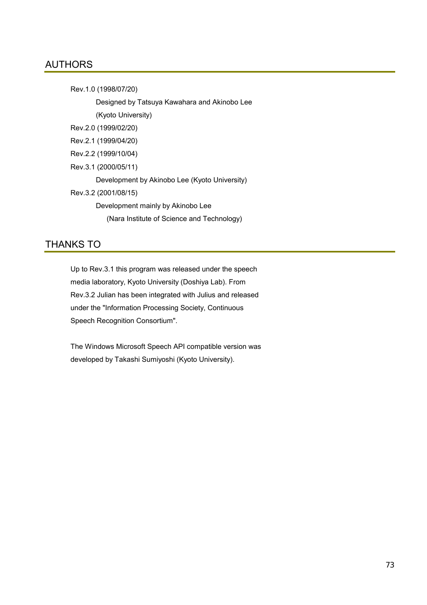#### AUTHORS

 Rev.1.0 (1998/07/20) Designed by Tatsuya Kawahara and Akinobo Lee (Kyoto University) Rev.2.0 (1999/02/20) Rev.2.1 (1999/04/20) Rev.2.2 (1999/10/04) Rev.3.1 (2000/05/11) Development by Akinobo Lee (Kyoto University) Rev.3.2 (2001/08/15) Development mainly by Akinobo Lee (Nara Institute of Science and Technology)

# THANKS TO

Up to Rev.3.1 this program was released under the speech media laboratory, Kyoto University (Doshiya Lab). From Rev.3.2 Julian has been integrated with Julius and released under the "Information Processing Society, Continuous Speech Recognition Consortium".

 The Windows Microsoft Speech API compatible version was developed by Takashi Sumiyoshi (Kyoto University).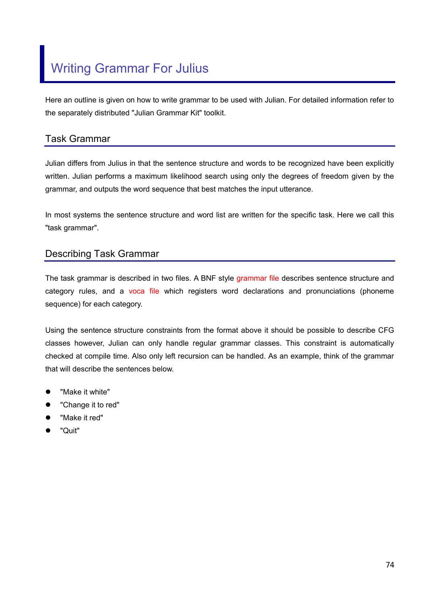Here an outline is given on how to write grammar to be used with Julian. For detailed information refer to the separately distributed "Julian Grammar Kit" toolkit.

### Task Grammar

Julian differs from Julius in that the sentence structure and words to be recognized have been explicitly written. Julian performs a maximum likelihood search using only the degrees of freedom given by the grammar, and outputs the word sequence that best matches the input utterance.

In most systems the sentence structure and word list are written for the specific task. Here we call this "task grammar".

### Describing Task Grammar

The task grammar is described in two files. A BNF style grammar file describes sentence structure and category rules, and a voca file which registers word declarations and pronunciations (phoneme sequence) for each category.

Using the sentence structure constraints from the format above it should be possible to describe CFG classes however, Julian can only handle regular grammar classes. This constraint is automatically checked at compile time. Also only left recursion can be handled. As an example, think of the grammar that will describe the sentences below.

- "Make it white"
- "Change it to red"
- "Make it red"
- z "Quit"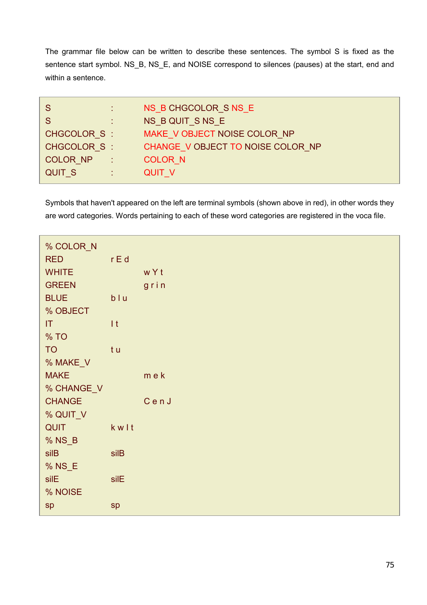The grammar file below can be written to describe these sentences. The symbol S is fixed as the sentence start symbol. NS\_B, NS\_E, and NOISE correspond to silences (pauses) at the start, end and within a sentence.

|               | NS B CHGCOLOR S NS E              |
|---------------|-----------------------------------|
|               | NS B QUIT S NS E                  |
| CHGCOLOR S:   | MAKE V OBJECT NOISE COLOR NP      |
| CHGCOLOR S:   | CHANGE V OBJECT TO NOISE COLOR NP |
| COLOR NP :    | <b>COLOR N</b>                    |
| <b>QUIT S</b> | <b>QUIT V</b>                     |

Symbols that haven't appeared on the left are terminal symbols (shown above in red), in other words they are word categories. Words pertaining to each of these word categories are registered in the voca file.

| % COLOR_N     |                  |       |  |  |
|---------------|------------------|-------|--|--|
| <b>RED</b>    | $r \mathsf{E} d$ |       |  |  |
| <b>WHITE</b>  |                  | wYt   |  |  |
| <b>GREEN</b>  |                  | grin  |  |  |
| <b>BLUE</b>   | blu              |       |  |  |
| % OBJECT      |                  |       |  |  |
| T             | It               |       |  |  |
| % TO          |                  |       |  |  |
| <b>TO</b>     | t u              |       |  |  |
| % MAKE_V      |                  |       |  |  |
| <b>MAKE</b>   |                  | m e k |  |  |
| % CHANGE_V    |                  |       |  |  |
| <b>CHANGE</b> |                  | CenJ  |  |  |
| % QUIT_V      |                  |       |  |  |
| <b>QUIT</b>   | kwlt             |       |  |  |
| % NS_B        |                  |       |  |  |
| silB          | silB             |       |  |  |
| % NS_E        |                  |       |  |  |
| silE          | silE             |       |  |  |
| % NOISE       |                  |       |  |  |
| sp            | sp               |       |  |  |